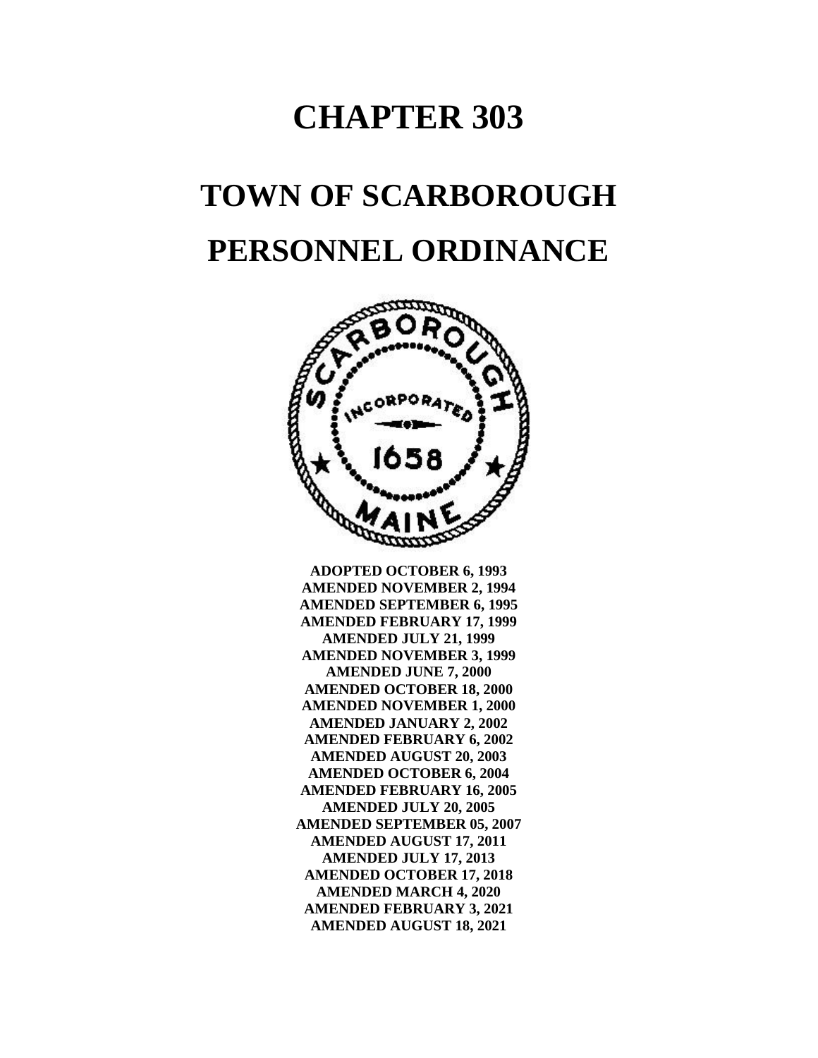## **CHAPTER 303**

# **TOWN OF SCARBOROUGH PERSONNEL ORDINANCE**



**ADOPTED OCTOBER 6, 1993 AMENDED NOVEMBER 2, 1994 AMENDED SEPTEMBER 6, 1995 AMENDED FEBRUARY 17, 1999 AMENDED JULY 21, 1999 AMENDED NOVEMBER 3, 1999 AMENDED JUNE 7, 2000 AMENDED OCTOBER 18, 2000 AMENDED NOVEMBER 1, 2000 AMENDED JANUARY 2, 2002 AMENDED FEBRUARY 6, 2002 AMENDED AUGUST 20, 2003 AMENDED OCTOBER 6, 2004 AMENDED FEBRUARY 16, 2005 AMENDED JULY 20, 2005 AMENDED SEPTEMBER 05, 2007 AMENDED AUGUST 17, 2011 AMENDED JULY 17, 2013 AMENDED OCTOBER 17, 2018 AMENDED MARCH 4, 2020 AMENDED FEBRUARY 3, 2021 AMENDED AUGUST 18, 2021**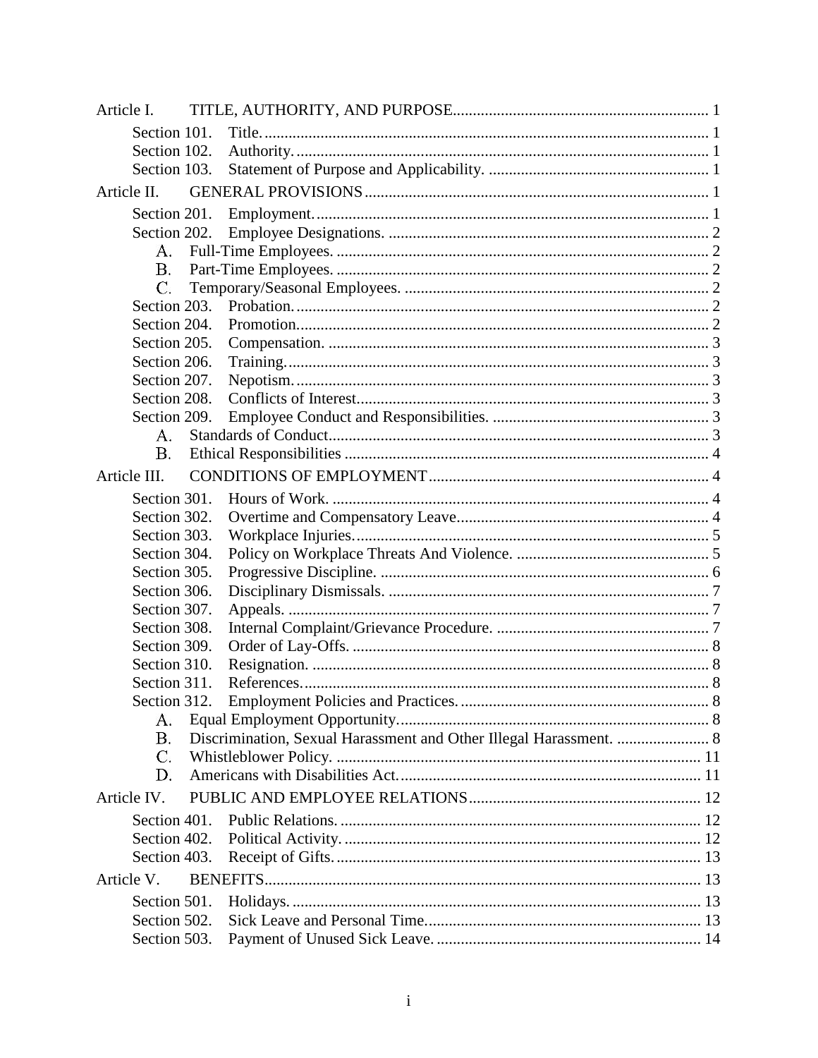| Article I.                   |              |                                                                    |  |  |  |  |
|------------------------------|--------------|--------------------------------------------------------------------|--|--|--|--|
|                              | Section 101. |                                                                    |  |  |  |  |
|                              | Section 102. |                                                                    |  |  |  |  |
|                              | Section 103. |                                                                    |  |  |  |  |
| Article II.                  |              |                                                                    |  |  |  |  |
|                              | Section 201. |                                                                    |  |  |  |  |
|                              | Section 202. |                                                                    |  |  |  |  |
| А.                           |              |                                                                    |  |  |  |  |
| В.                           |              |                                                                    |  |  |  |  |
| C.                           |              |                                                                    |  |  |  |  |
|                              | Section 203. |                                                                    |  |  |  |  |
|                              | Section 204. |                                                                    |  |  |  |  |
|                              | Section 205. |                                                                    |  |  |  |  |
|                              | Section 206. |                                                                    |  |  |  |  |
|                              | Section 207. |                                                                    |  |  |  |  |
|                              | Section 208. |                                                                    |  |  |  |  |
|                              | Section 209. |                                                                    |  |  |  |  |
| А.                           |              |                                                                    |  |  |  |  |
| Β.                           |              |                                                                    |  |  |  |  |
| Article III.                 |              |                                                                    |  |  |  |  |
|                              | Section 301. |                                                                    |  |  |  |  |
|                              | Section 302. |                                                                    |  |  |  |  |
|                              | Section 303. |                                                                    |  |  |  |  |
|                              | Section 304. |                                                                    |  |  |  |  |
|                              | Section 305. |                                                                    |  |  |  |  |
|                              | Section 306. |                                                                    |  |  |  |  |
|                              | Section 307. |                                                                    |  |  |  |  |
|                              | Section 308. |                                                                    |  |  |  |  |
|                              | Section 309. |                                                                    |  |  |  |  |
|                              | Section 310. |                                                                    |  |  |  |  |
|                              | Section 311. |                                                                    |  |  |  |  |
|                              | Section 312. |                                                                    |  |  |  |  |
| А.                           |              |                                                                    |  |  |  |  |
| Β.                           |              | Discrimination, Sexual Harassment and Other Illegal Harassment.  8 |  |  |  |  |
| C.                           |              |                                                                    |  |  |  |  |
| D.                           |              |                                                                    |  |  |  |  |
| Article IV.                  |              |                                                                    |  |  |  |  |
|                              |              |                                                                    |  |  |  |  |
| Section 401.<br>Section 402. |              |                                                                    |  |  |  |  |
|                              |              |                                                                    |  |  |  |  |
|                              | Section 403. |                                                                    |  |  |  |  |
| Article V.                   |              |                                                                    |  |  |  |  |
|                              | Section 501. |                                                                    |  |  |  |  |
|                              | Section 502. |                                                                    |  |  |  |  |
|                              | Section 503. |                                                                    |  |  |  |  |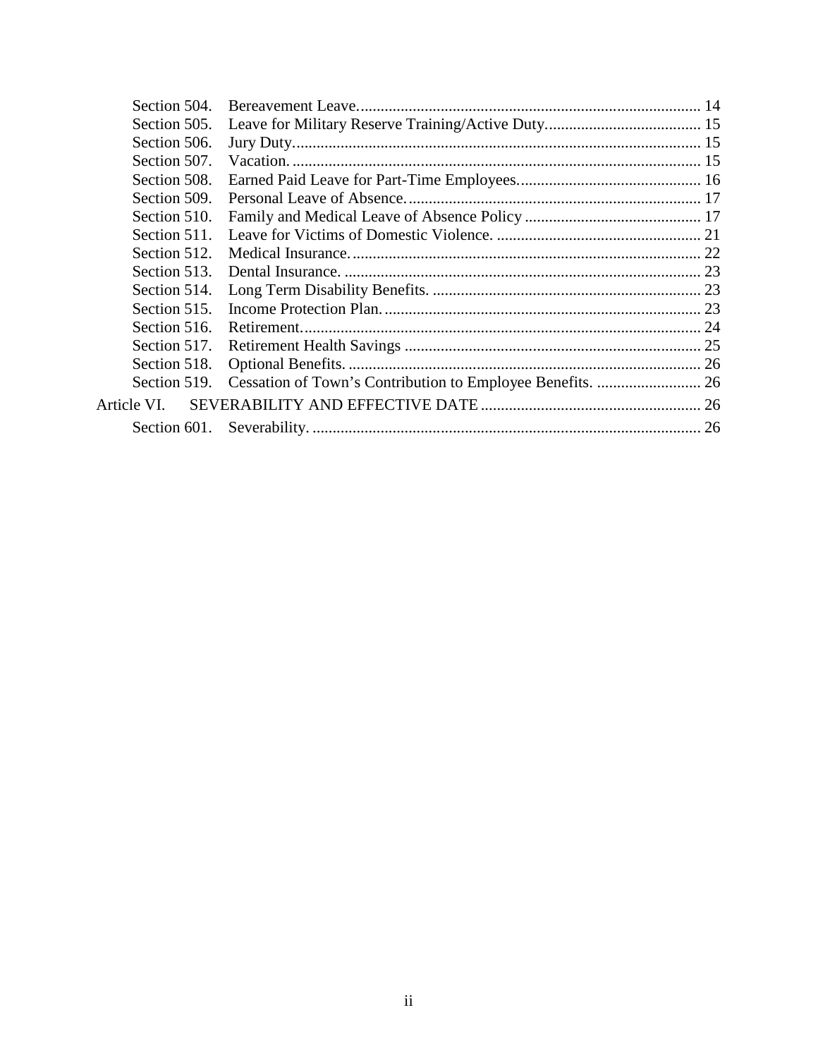| Section 504. |  |
|--------------|--|
| Section 505. |  |
| Section 506. |  |
| Section 507. |  |
| Section 508. |  |
| Section 509. |  |
| Section 510. |  |
| Section 511. |  |
| Section 512. |  |
| Section 513. |  |
| Section 514. |  |
| Section 515. |  |
| Section 516. |  |
| Section 517. |  |
| Section 518. |  |
| Section 519. |  |
| Article VI.  |  |
| Section 601. |  |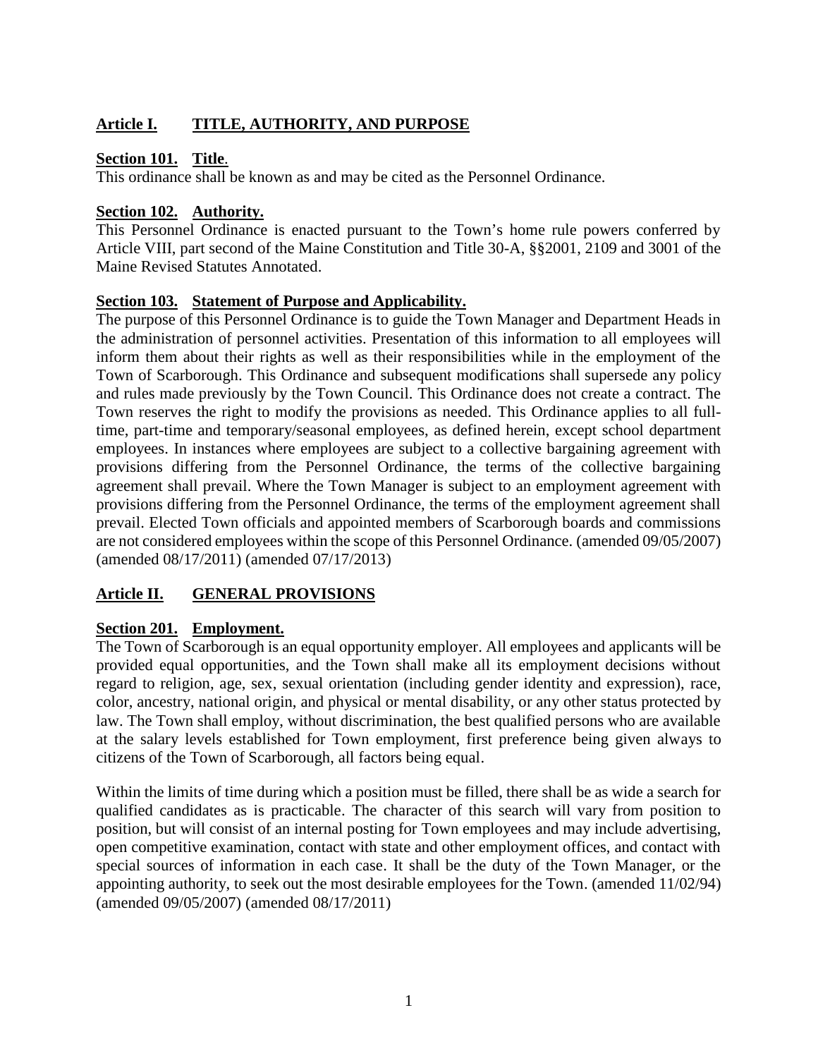### **Article I. TITLE, AUTHORITY, AND PURPOSE**

#### **Section 101. Title**.

This ordinance shall be known as and may be cited as the Personnel Ordinance.

#### **Section 102. Authority.**

This Personnel Ordinance is enacted pursuant to the Town's home rule powers conferred by Article VIII, part second of the Maine Constitution and Title 30-A, §§2001, 2109 and 3001 of the Maine Revised Statutes Annotated.

#### **Section 103. Statement of Purpose and Applicability.**

The purpose of this Personnel Ordinance is to guide the Town Manager and Department Heads in the administration of personnel activities. Presentation of this information to all employees will inform them about their rights as well as their responsibilities while in the employment of the Town of Scarborough. This Ordinance and subsequent modifications shall supersede any policy and rules made previously by the Town Council. This Ordinance does not create a contract. The Town reserves the right to modify the provisions as needed. This Ordinance applies to all fulltime, part-time and temporary/seasonal employees, as defined herein, except school department employees. In instances where employees are subject to a collective bargaining agreement with provisions differing from the Personnel Ordinance, the terms of the collective bargaining agreement shall prevail. Where the Town Manager is subject to an employment agreement with provisions differing from the Personnel Ordinance, the terms of the employment agreement shall prevail. Elected Town officials and appointed members of Scarborough boards and commissions are not considered employees within the scope of this Personnel Ordinance. (amended 09/05/2007) (amended 08/17/2011) (amended 07/17/2013)

### **Article II. GENERAL PROVISIONS**

#### **Section 201. Employment.**

The Town of Scarborough is an equal opportunity employer. All employees and applicants will be provided equal opportunities, and the Town shall make all its employment decisions without regard to religion, age, sex, sexual orientation (including gender identity and expression), race, color, ancestry, national origin, and physical or mental disability, or any other status protected by law. The Town shall employ, without discrimination, the best qualified persons who are available at the salary levels established for Town employment, first preference being given always to citizens of the Town of Scarborough, all factors being equal.

Within the limits of time during which a position must be filled, there shall be as wide a search for qualified candidates as is practicable. The character of this search will vary from position to position, but will consist of an internal posting for Town employees and may include advertising, open competitive examination, contact with state and other employment offices, and contact with special sources of information in each case. It shall be the duty of the Town Manager, or the appointing authority, to seek out the most desirable employees for the Town. (amended 11/02/94) (amended 09/05/2007) (amended 08/17/2011)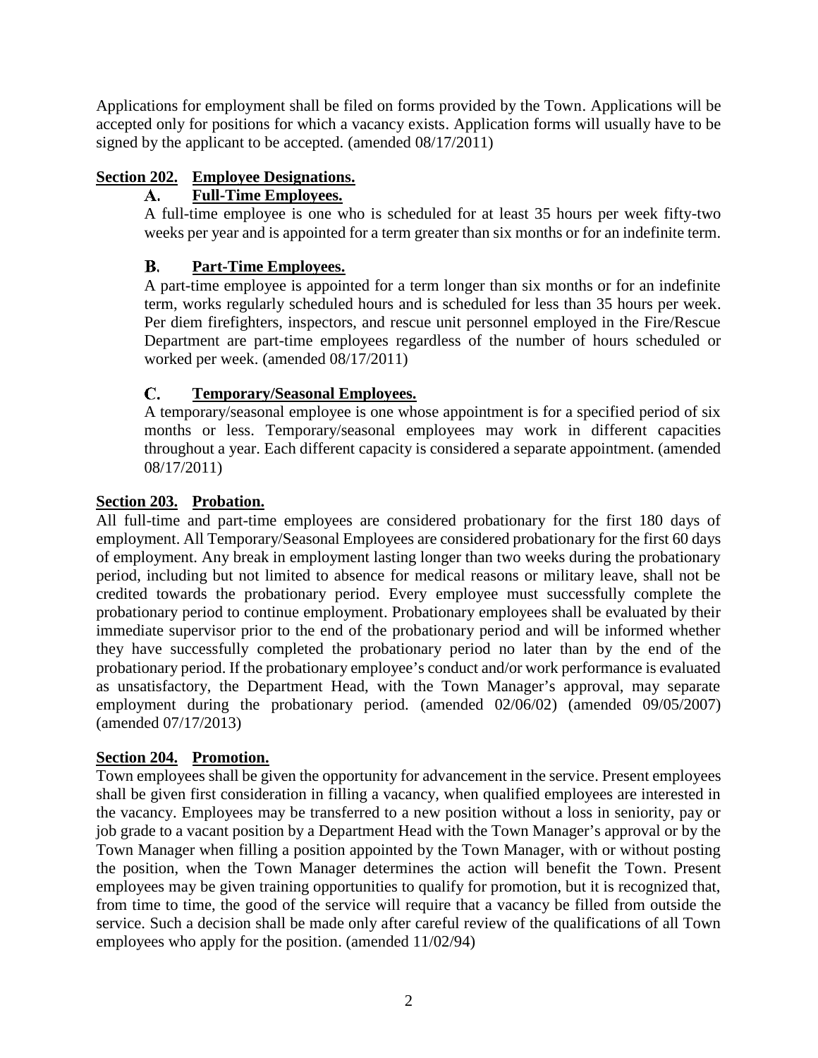Applications for employment shall be filed on forms provided by the Town. Applications will be accepted only for positions for which a vacancy exists. Application forms will usually have to be signed by the applicant to be accepted. (amended 08/17/2011)

### **Section 202. Employee Designations.**

#### **Full-Time Employees.**  $A_{\bullet}$

A full-time employee is one who is scheduled for at least 35 hours per week fifty-two weeks per year and is appointed for a term greater than six months or for an indefinite term.

#### $\mathbf{B}$ . **Part-Time Employees.**

A part-time employee is appointed for a term longer than six months or for an indefinite term, works regularly scheduled hours and is scheduled for less than 35 hours per week. Per diem firefighters, inspectors, and rescue unit personnel employed in the Fire/Rescue Department are part-time employees regardless of the number of hours scheduled or worked per week. (amended 08/17/2011)

#### C. **Temporary/Seasonal Employees.**

A temporary/seasonal employee is one whose appointment is for a specified period of six months or less. Temporary/seasonal employees may work in different capacities throughout a year. Each different capacity is considered a separate appointment. (amended 08/17/2011)

### **Section 203. Probation.**

All full-time and part-time employees are considered probationary for the first 180 days of employment. All Temporary/Seasonal Employees are considered probationary for the first 60 days of employment. Any break in employment lasting longer than two weeks during the probationary period, including but not limited to absence for medical reasons or military leave, shall not be credited towards the probationary period. Every employee must successfully complete the probationary period to continue employment. Probationary employees shall be evaluated by their immediate supervisor prior to the end of the probationary period and will be informed whether they have successfully completed the probationary period no later than by the end of the probationary period. If the probationary employee's conduct and/or work performance is evaluated as unsatisfactory, the Department Head, with the Town Manager's approval, may separate employment during the probationary period. (amended 02/06/02) (amended 09/05/2007) (amended 07/17/2013)

#### **Section 204. Promotion.**

Town employees shall be given the opportunity for advancement in the service. Present employees shall be given first consideration in filling a vacancy, when qualified employees are interested in the vacancy. Employees may be transferred to a new position without a loss in seniority, pay or job grade to a vacant position by a Department Head with the Town Manager's approval or by the Town Manager when filling a position appointed by the Town Manager, with or without posting the position, when the Town Manager determines the action will benefit the Town. Present employees may be given training opportunities to qualify for promotion, but it is recognized that, from time to time, the good of the service will require that a vacancy be filled from outside the service. Such a decision shall be made only after careful review of the qualifications of all Town employees who apply for the position. (amended 11/02/94)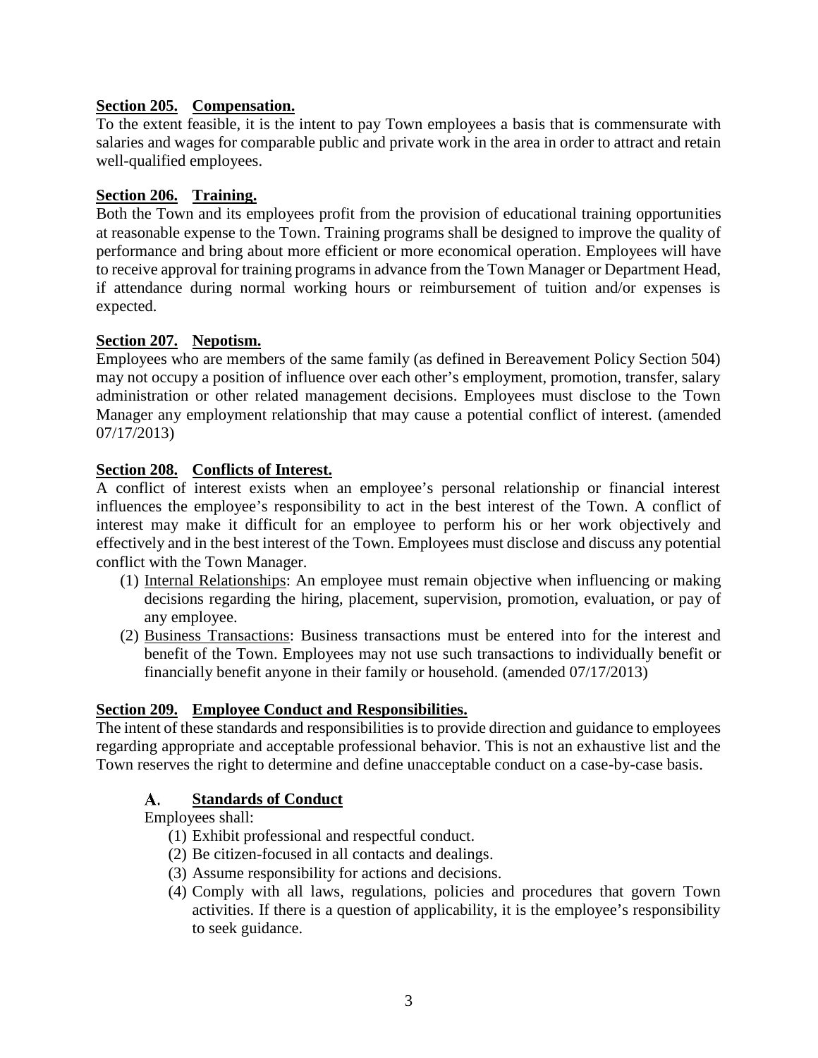#### **Section 205. Compensation.**

To the extent feasible, it is the intent to pay Town employees a basis that is commensurate with salaries and wages for comparable public and private work in the area in order to attract and retain well-qualified employees.

#### **Section 206. Training.**

Both the Town and its employees profit from the provision of educational training opportunities at reasonable expense to the Town. Training programs shall be designed to improve the quality of performance and bring about more efficient or more economical operation. Employees will have to receive approval for training programs in advance from the Town Manager or Department Head, if attendance during normal working hours or reimbursement of tuition and/or expenses is expected.

#### **Section 207. Nepotism.**

Employees who are members of the same family (as defined in Bereavement Policy Section 504) may not occupy a position of influence over each other's employment, promotion, transfer, salary administration or other related management decisions. Employees must disclose to the Town Manager any employment relationship that may cause a potential conflict of interest. (amended 07/17/2013)

#### **Section 208. Conflicts of Interest.**

A conflict of interest exists when an employee's personal relationship or financial interest influences the employee's responsibility to act in the best interest of the Town. A conflict of interest may make it difficult for an employee to perform his or her work objectively and effectively and in the best interest of the Town. Employees must disclose and discuss any potential conflict with the Town Manager.

- (1) Internal Relationships: An employee must remain objective when influencing or making decisions regarding the hiring, placement, supervision, promotion, evaluation, or pay of any employee.
- (2) Business Transactions: Business transactions must be entered into for the interest and benefit of the Town. Employees may not use such transactions to individually benefit or financially benefit anyone in their family or household. (amended 07/17/2013)

#### **Section 209. Employee Conduct and Responsibilities.**

The intent of these standards and responsibilities is to provide direction and guidance to employees regarding appropriate and acceptable professional behavior. This is not an exhaustive list and the Town reserves the right to determine and define unacceptable conduct on a case-by-case basis.

#### **Standards of Conduct** А.

Employees shall:

- (1) Exhibit professional and respectful conduct.
- (2) Be citizen-focused in all contacts and dealings.
- (3) Assume responsibility for actions and decisions.
- (4) Comply with all laws, regulations, policies and procedures that govern Town activities. If there is a question of applicability, it is the employee's responsibility to seek guidance.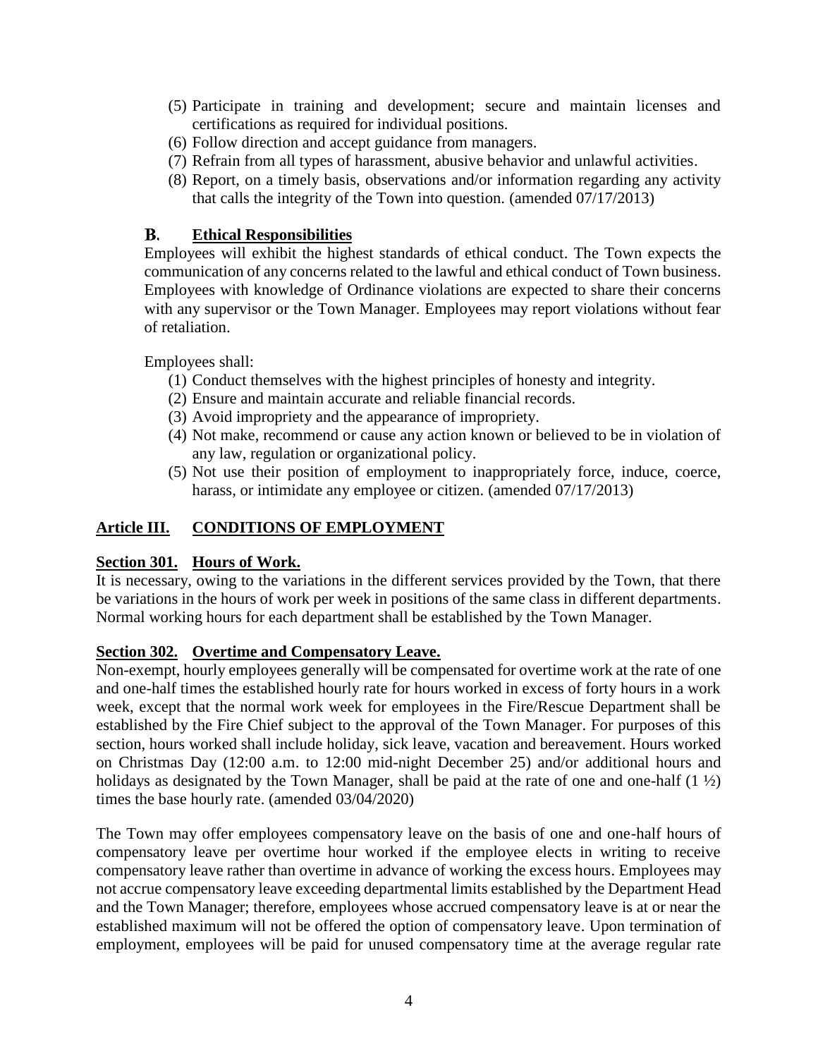- (5) Participate in training and development; secure and maintain licenses and certifications as required for individual positions.
- (6) Follow direction and accept guidance from managers.
- (7) Refrain from all types of harassment, abusive behavior and unlawful activities.
- (8) Report, on a timely basis, observations and/or information regarding any activity that calls the integrity of the Town into question. (amended 07/17/2013)

#### В. **Ethical Responsibilities**

Employees will exhibit the highest standards of ethical conduct. The Town expects the communication of any concerns related to the lawful and ethical conduct of Town business. Employees with knowledge of Ordinance violations are expected to share their concerns with any supervisor or the Town Manager. Employees may report violations without fear of retaliation.

Employees shall:

- (1) Conduct themselves with the highest principles of honesty and integrity.
- (2) Ensure and maintain accurate and reliable financial records.
- (3) Avoid impropriety and the appearance of impropriety.
- (4) Not make, recommend or cause any action known or believed to be in violation of any law, regulation or organizational policy.
- (5) Not use their position of employment to inappropriately force, induce, coerce, harass, or intimidate any employee or citizen. (amended  $07/17/2013$ )

#### **Article III. CONDITIONS OF EMPLOYMENT**

#### **Section 301. Hours of Work.**

It is necessary, owing to the variations in the different services provided by the Town, that there be variations in the hours of work per week in positions of the same class in different departments. Normal working hours for each department shall be established by the Town Manager.

#### **Section 302. Overtime and Compensatory Leave.**

Non-exempt, hourly employees generally will be compensated for overtime work at the rate of one and one-half times the established hourly rate for hours worked in excess of forty hours in a work week, except that the normal work week for employees in the Fire/Rescue Department shall be established by the Fire Chief subject to the approval of the Town Manager. For purposes of this section, hours worked shall include holiday, sick leave, vacation and bereavement. Hours worked on Christmas Day (12:00 a.m. to 12:00 mid-night December 25) and/or additional hours and holidays as designated by the Town Manager, shall be paid at the rate of one and one-half (1  $\frac{1}{2}$ ) times the base hourly rate. (amended 03/04/2020)

The Town may offer employees compensatory leave on the basis of one and one-half hours of compensatory leave per overtime hour worked if the employee elects in writing to receive compensatory leave rather than overtime in advance of working the excess hours. Employees may not accrue compensatory leave exceeding departmental limits established by the Department Head and the Town Manager; therefore, employees whose accrued compensatory leave is at or near the established maximum will not be offered the option of compensatory leave. Upon termination of employment, employees will be paid for unused compensatory time at the average regular rate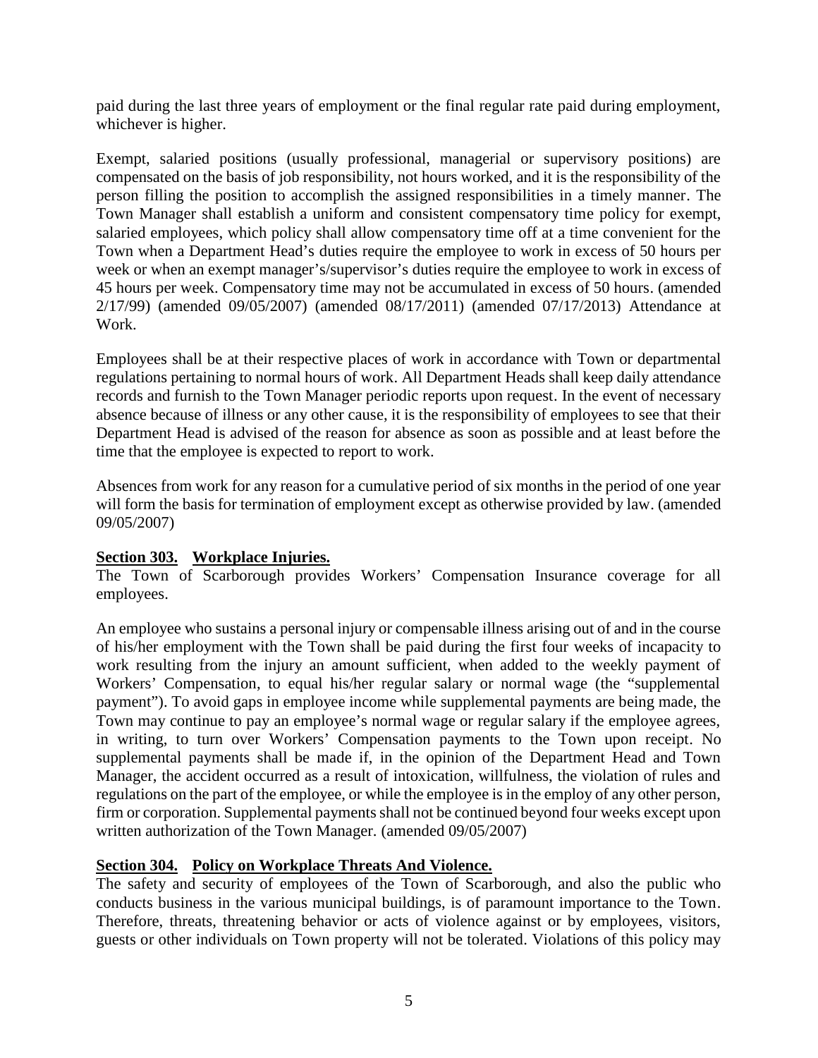paid during the last three years of employment or the final regular rate paid during employment, whichever is higher.

Exempt, salaried positions (usually professional, managerial or supervisory positions) are compensated on the basis of job responsibility, not hours worked, and it is the responsibility of the person filling the position to accomplish the assigned responsibilities in a timely manner. The Town Manager shall establish a uniform and consistent compensatory time policy for exempt, salaried employees, which policy shall allow compensatory time off at a time convenient for the Town when a Department Head's duties require the employee to work in excess of 50 hours per week or when an exempt manager's/supervisor's duties require the employee to work in excess of 45 hours per week. Compensatory time may not be accumulated in excess of 50 hours. (amended 2/17/99) (amended 09/05/2007) (amended 08/17/2011) (amended 07/17/2013) Attendance at Work.

Employees shall be at their respective places of work in accordance with Town or departmental regulations pertaining to normal hours of work. All Department Heads shall keep daily attendance records and furnish to the Town Manager periodic reports upon request. In the event of necessary absence because of illness or any other cause, it is the responsibility of employees to see that their Department Head is advised of the reason for absence as soon as possible and at least before the time that the employee is expected to report to work.

Absences from work for any reason for a cumulative period of six months in the period of one year will form the basis for termination of employment except as otherwise provided by law. (amended 09/05/2007)

#### **Section 303. Workplace Injuries.**

The Town of Scarborough provides Workers' Compensation Insurance coverage for all employees.

An employee who sustains a personal injury or compensable illness arising out of and in the course of his/her employment with the Town shall be paid during the first four weeks of incapacity to work resulting from the injury an amount sufficient, when added to the weekly payment of Workers' Compensation, to equal his/her regular salary or normal wage (the "supplemental payment"). To avoid gaps in employee income while supplemental payments are being made, the Town may continue to pay an employee's normal wage or regular salary if the employee agrees, in writing, to turn over Workers' Compensation payments to the Town upon receipt. No supplemental payments shall be made if, in the opinion of the Department Head and Town Manager, the accident occurred as a result of intoxication, willfulness, the violation of rules and regulations on the part of the employee, or while the employee is in the employ of any other person, firm or corporation. Supplemental payments shall not be continued beyond four weeks except upon written authorization of the Town Manager. (amended 09/05/2007)

#### **Section 304. Policy on Workplace Threats And Violence.**

The safety and security of employees of the Town of Scarborough, and also the public who conducts business in the various municipal buildings, is of paramount importance to the Town. Therefore, threats, threatening behavior or acts of violence against or by employees, visitors, guests or other individuals on Town property will not be tolerated. Violations of this policy may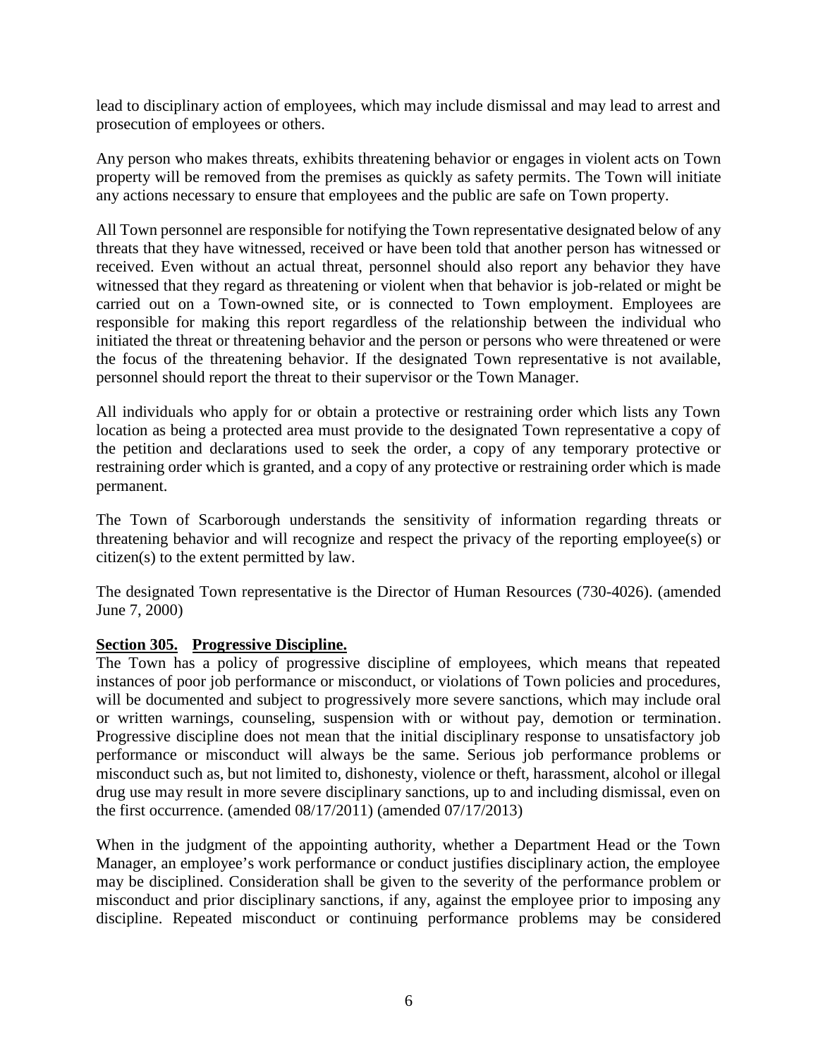lead to disciplinary action of employees, which may include dismissal and may lead to arrest and prosecution of employees or others.

Any person who makes threats, exhibits threatening behavior or engages in violent acts on Town property will be removed from the premises as quickly as safety permits. The Town will initiate any actions necessary to ensure that employees and the public are safe on Town property.

All Town personnel are responsible for notifying the Town representative designated below of any threats that they have witnessed, received or have been told that another person has witnessed or received. Even without an actual threat, personnel should also report any behavior they have witnessed that they regard as threatening or violent when that behavior is job-related or might be carried out on a Town-owned site, or is connected to Town employment. Employees are responsible for making this report regardless of the relationship between the individual who initiated the threat or threatening behavior and the person or persons who were threatened or were the focus of the threatening behavior. If the designated Town representative is not available, personnel should report the threat to their supervisor or the Town Manager.

All individuals who apply for or obtain a protective or restraining order which lists any Town location as being a protected area must provide to the designated Town representative a copy of the petition and declarations used to seek the order, a copy of any temporary protective or restraining order which is granted, and a copy of any protective or restraining order which is made permanent.

The Town of Scarborough understands the sensitivity of information regarding threats or threatening behavior and will recognize and respect the privacy of the reporting employee(s) or citizen(s) to the extent permitted by law.

The designated Town representative is the Director of Human Resources (730-4026). (amended June 7, 2000)

#### **Section 305. Progressive Discipline.**

The Town has a policy of progressive discipline of employees, which means that repeated instances of poor job performance or misconduct, or violations of Town policies and procedures, will be documented and subject to progressively more severe sanctions, which may include oral or written warnings, counseling, suspension with or without pay, demotion or termination. Progressive discipline does not mean that the initial disciplinary response to unsatisfactory job performance or misconduct will always be the same. Serious job performance problems or misconduct such as, but not limited to, dishonesty, violence or theft, harassment, alcohol or illegal drug use may result in more severe disciplinary sanctions, up to and including dismissal, even on the first occurrence. (amended 08/17/2011) (amended 07/17/2013)

When in the judgment of the appointing authority, whether a Department Head or the Town Manager, an employee's work performance or conduct justifies disciplinary action, the employee may be disciplined. Consideration shall be given to the severity of the performance problem or misconduct and prior disciplinary sanctions, if any, against the employee prior to imposing any discipline. Repeated misconduct or continuing performance problems may be considered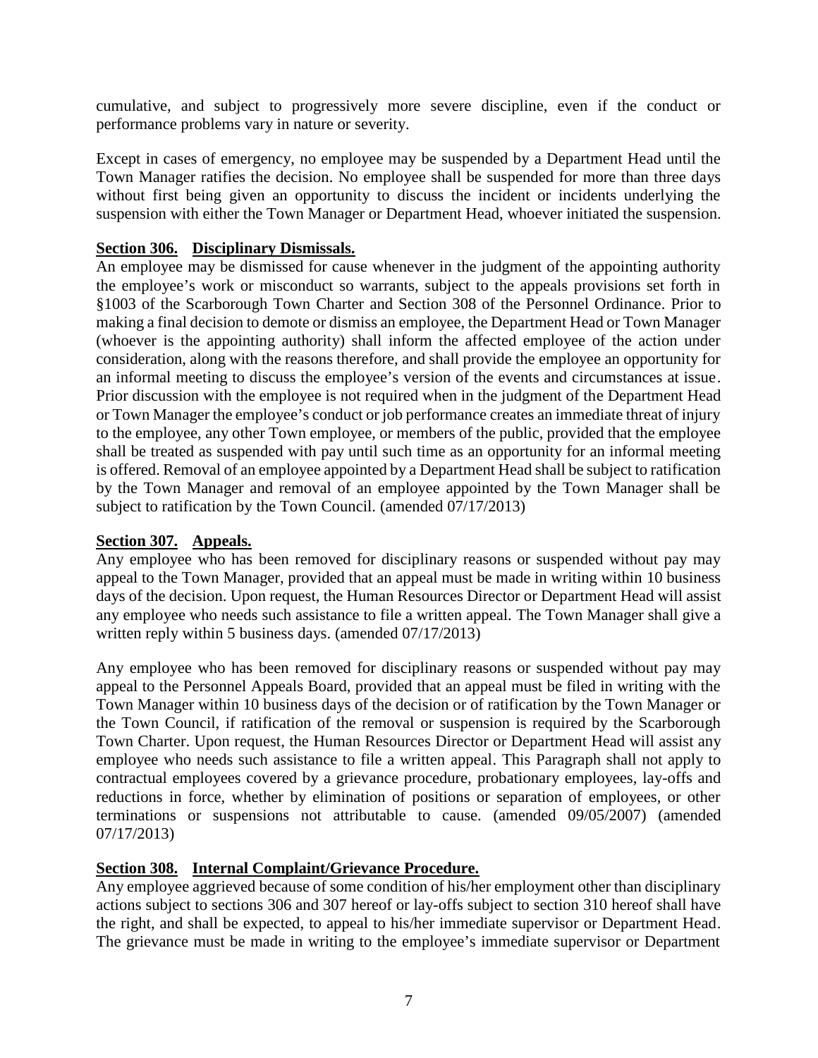cumulative, and subject to progressively more severe discipline, even if the conduct or performance problems vary in nature or severity.

Except in cases of emergency, no employee may be suspended by a Department Head until the Town Manager ratifies the decision. No employee shall be suspended for more than three days without first being given an opportunity to discuss the incident or incidents underlying the suspension with either the Town Manager or Department Head, whoever initiated the suspension.

#### **Section 306. Disciplinary Dismissals.**

An employee may be dismissed for cause whenever in the judgment of the appointing authority the employee's work or misconduct so warrants, subject to the appeals provisions set forth in §1003 of the Scarborough Town Charter and Section 308 of the Personnel Ordinance. Prior to making a final decision to demote or dismiss an employee, the Department Head or Town Manager (whoever is the appointing authority) shall inform the affected employee of the action under consideration, along with the reasons therefore, and shall provide the employee an opportunity for an informal meeting to discuss the employee's version of the events and circumstances at issue. Prior discussion with the employee is not required when in the judgment of the Department Head or Town Manager the employee's conduct or job performance creates an immediate threat of injury to the employee, any other Town employee, or members of the public, provided that the employee shall be treated as suspended with pay until such time as an opportunity for an informal meeting is offered. Removal of an employee appointed by a Department Head shall be subject to ratification by the Town Manager and removal of an employee appointed by the Town Manager shall be subject to ratification by the Town Council. (amended 07/17/2013)

#### **Section 307. Appeals.**

Any employee who has been removed for disciplinary reasons or suspended without pay may appeal to the Town Manager, provided that an appeal must be made in writing within 10 business days of the decision. Upon request, the Human Resources Director or Department Head will assist any employee who needs such assistance to file a written appeal. The Town Manager shall give a written reply within 5 business days. (amended  $07/17/2013$ )

Any employee who has been removed for disciplinary reasons or suspended without pay may appeal to the Personnel Appeals Board, provided that an appeal must be filed in writing with the Town Manager within 10 business days of the decision or of ratification by the Town Manager or the Town Council, if ratification of the removal or suspension is required by the Scarborough Town Charter. Upon request, the Human Resources Director or Department Head will assist any employee who needs such assistance to file a written appeal. This Paragraph shall not apply to contractual employees covered by a grievance procedure, probationary employees, lay-offs and reductions in force, whether by elimination of positions or separation of employees, or other terminations or suspensions not attributable to cause. (amended 09/05/2007) (amended 07/17/2013)

#### **Section 308. Internal Complaint/Grievance Procedure.**

Any employee aggrieved because of some condition of his/her employment other than disciplinary actions subject to sections 306 and 307 hereof or lay-offs subject to section 310 hereof shall have the right, and shall be expected, to appeal to his/her immediate supervisor or Department Head. The grievance must be made in writing to the employee's immediate supervisor or Department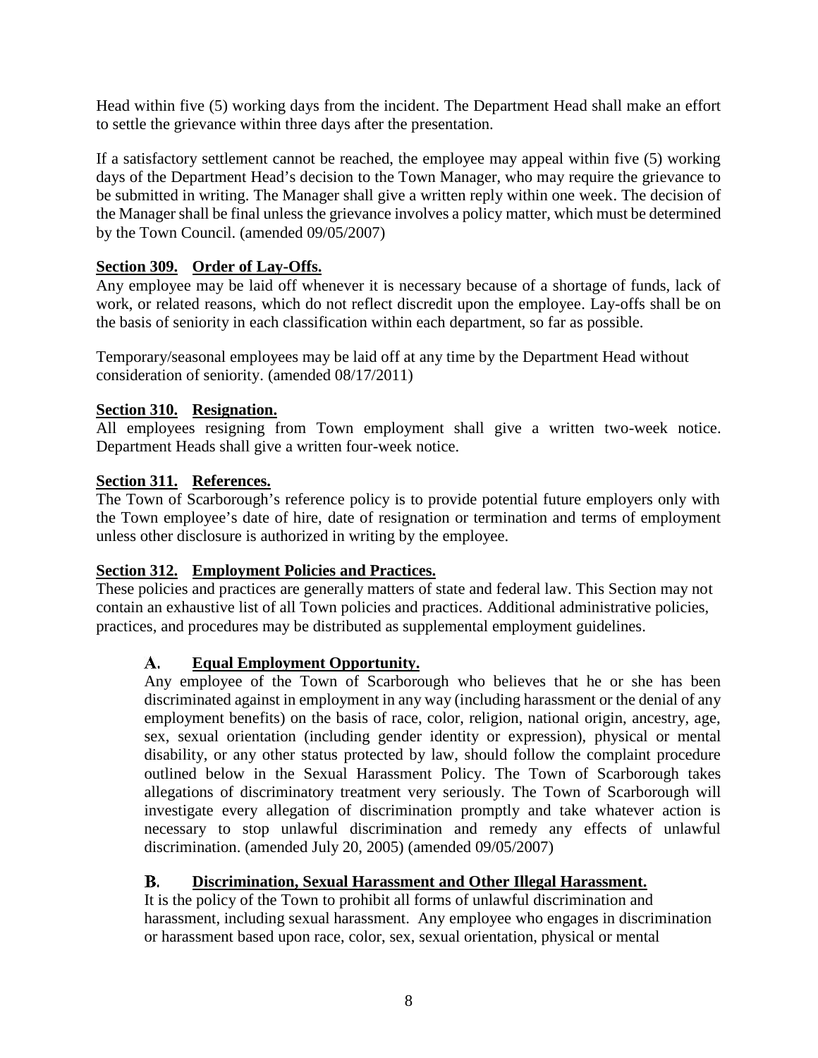Head within five (5) working days from the incident. The Department Head shall make an effort to settle the grievance within three days after the presentation.

If a satisfactory settlement cannot be reached, the employee may appeal within five (5) working days of the Department Head's decision to the Town Manager, who may require the grievance to be submitted in writing. The Manager shall give a written reply within one week. The decision of the Manager shall be final unless the grievance involves a policy matter, which must be determined by the Town Council. (amended 09/05/2007)

#### **Section 309. Order of Lay-Offs.**

Any employee may be laid off whenever it is necessary because of a shortage of funds, lack of work, or related reasons, which do not reflect discredit upon the employee. Lay-offs shall be on the basis of seniority in each classification within each department, so far as possible.

Temporary/seasonal employees may be laid off at any time by the Department Head without consideration of seniority. (amended 08/17/2011)

### **Section 310. Resignation.**

All employees resigning from Town employment shall give a written two-week notice. Department Heads shall give a written four-week notice.

### **Section 311. References.**

The Town of Scarborough's reference policy is to provide potential future employers only with the Town employee's date of hire, date of resignation or termination and terms of employment unless other disclosure is authorized in writing by the employee.

#### **Section 312. Employment Policies and Practices.**

These policies and practices are generally matters of state and federal law. This Section may not contain an exhaustive list of all Town policies and practices. Additional administrative policies, practices, and procedures may be distributed as supplemental employment guidelines.

#### А. **Equal Employment Opportunity.**

Any employee of the Town of Scarborough who believes that he or she has been discriminated against in employment in any way (including harassment or the denial of any employment benefits) on the basis of race, color, religion, national origin, ancestry, age, sex, sexual orientation (including gender identity or expression), physical or mental disability, or any other status protected by law, should follow the complaint procedure outlined below in the Sexual Harassment Policy. The Town of Scarborough takes allegations of discriminatory treatment very seriously. The Town of Scarborough will investigate every allegation of discrimination promptly and take whatever action is necessary to stop unlawful discrimination and remedy any effects of unlawful discrimination. (amended July 20, 2005) (amended 09/05/2007)

#### **B. Discrimination, Sexual Harassment and Other Illegal Harassment.**

It is the policy of the Town to prohibit all forms of unlawful discrimination and harassment, including sexual harassment. Any employee who engages in discrimination or harassment based upon race, color, sex, sexual orientation, physical or mental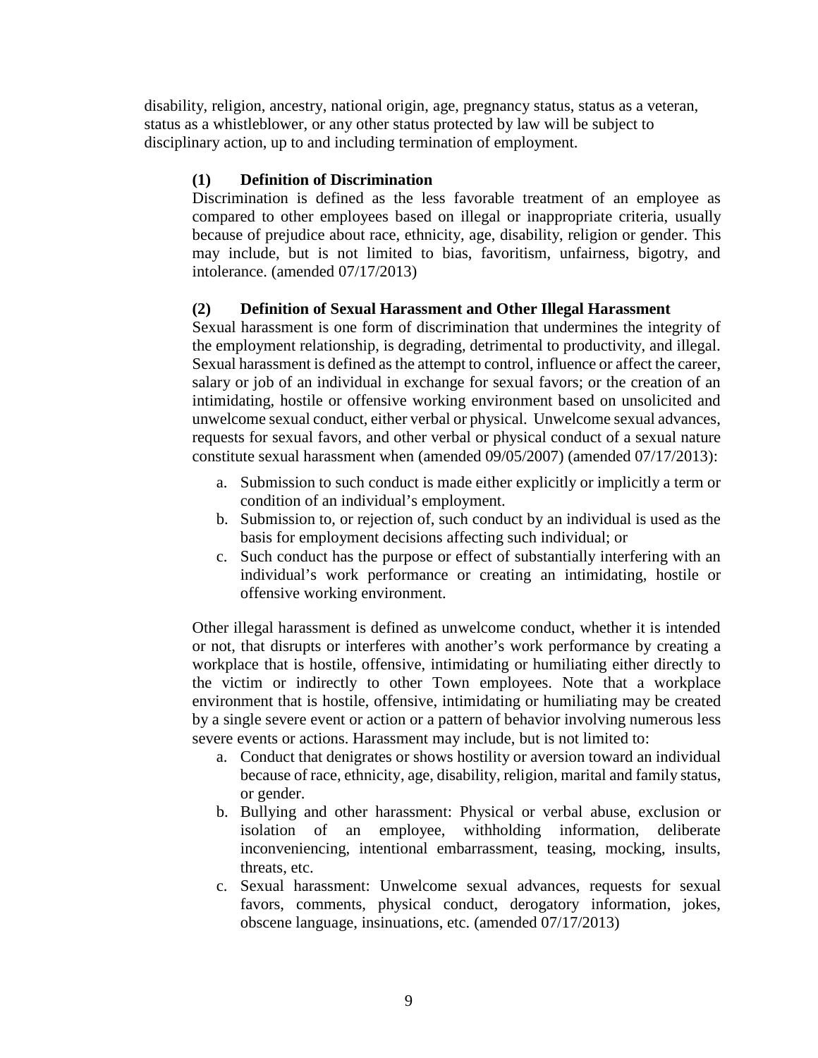disability, religion, ancestry, national origin, age, pregnancy status, status as a veteran, status as a whistleblower, or any other status protected by law will be subject to disciplinary action, up to and including termination of employment.

### **(1) Definition of Discrimination**

Discrimination is defined as the less favorable treatment of an employee as compared to other employees based on illegal or inappropriate criteria, usually because of prejudice about race, ethnicity, age, disability, religion or gender. This may include, but is not limited to bias, favoritism, unfairness, bigotry, and intolerance. (amended 07/17/2013)

### **(2) Definition of Sexual Harassment and Other Illegal Harassment**

Sexual harassment is one form of discrimination that undermines the integrity of the employment relationship, is degrading, detrimental to productivity, and illegal. Sexual harassment is defined as the attempt to control, influence or affect the career, salary or job of an individual in exchange for sexual favors; or the creation of an intimidating, hostile or offensive working environment based on unsolicited and unwelcome sexual conduct, either verbal or physical. Unwelcome sexual advances, requests for sexual favors, and other verbal or physical conduct of a sexual nature constitute sexual harassment when (amended 09/05/2007) (amended 07/17/2013):

- a. Submission to such conduct is made either explicitly or implicitly a term or condition of an individual's employment.
- b. Submission to, or rejection of, such conduct by an individual is used as the basis for employment decisions affecting such individual; or
- c. Such conduct has the purpose or effect of substantially interfering with an individual's work performance or creating an intimidating, hostile or offensive working environment.

Other illegal harassment is defined as unwelcome conduct, whether it is intended or not, that disrupts or interferes with another's work performance by creating a workplace that is hostile, offensive, intimidating or humiliating either directly to the victim or indirectly to other Town employees. Note that a workplace environment that is hostile, offensive, intimidating or humiliating may be created by a single severe event or action or a pattern of behavior involving numerous less severe events or actions. Harassment may include, but is not limited to:

- a. Conduct that denigrates or shows hostility or aversion toward an individual because of race, ethnicity, age, disability, religion, marital and family status, or gender.
- b. Bullying and other harassment: Physical or verbal abuse, exclusion or isolation of an employee, withholding information, deliberate inconveniencing, intentional embarrassment, teasing, mocking, insults, threats, etc.
- c. Sexual harassment: Unwelcome sexual advances, requests for sexual favors, comments, physical conduct, derogatory information, jokes, obscene language, insinuations, etc. (amended 07/17/2013)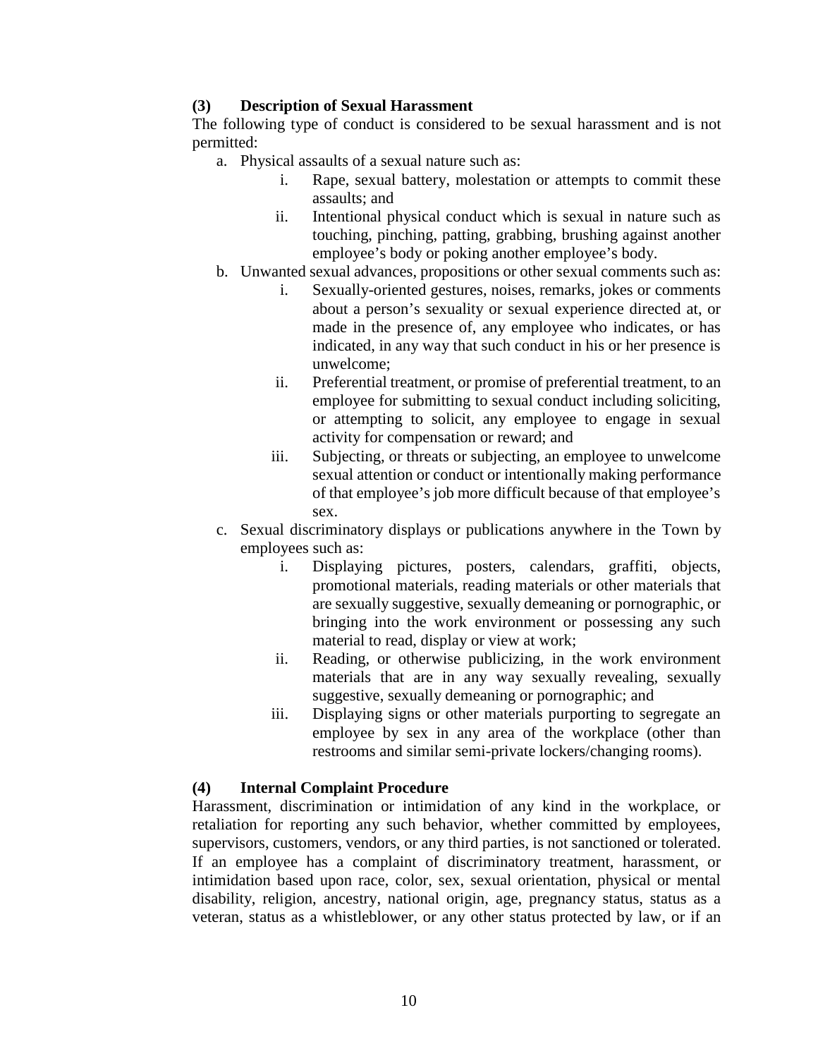#### **(3) Description of Sexual Harassment**

The following type of conduct is considered to be sexual harassment and is not permitted:

- a. Physical assaults of a sexual nature such as:
	- i. Rape, sexual battery, molestation or attempts to commit these assaults; and
	- ii. Intentional physical conduct which is sexual in nature such as touching, pinching, patting, grabbing, brushing against another employee's body or poking another employee's body.
- b. Unwanted sexual advances, propositions or other sexual comments such as:
	- i. Sexually-oriented gestures, noises, remarks, jokes or comments about a person's sexuality or sexual experience directed at, or made in the presence of, any employee who indicates, or has indicated, in any way that such conduct in his or her presence is unwelcome;
	- ii. Preferential treatment, or promise of preferential treatment, to an employee for submitting to sexual conduct including soliciting, or attempting to solicit, any employee to engage in sexual activity for compensation or reward; and
	- iii. Subjecting, or threats or subjecting, an employee to unwelcome sexual attention or conduct or intentionally making performance of that employee's job more difficult because of that employee's sex.
- c. Sexual discriminatory displays or publications anywhere in the Town by employees such as:
	- i. Displaying pictures, posters, calendars, graffiti, objects, promotional materials, reading materials or other materials that are sexually suggestive, sexually demeaning or pornographic, or bringing into the work environment or possessing any such material to read, display or view at work;
	- ii. Reading, or otherwise publicizing, in the work environment materials that are in any way sexually revealing, sexually suggestive, sexually demeaning or pornographic; and
	- iii. Displaying signs or other materials purporting to segregate an employee by sex in any area of the workplace (other than restrooms and similar semi-private lockers/changing rooms).

#### **(4) Internal Complaint Procedure**

Harassment, discrimination or intimidation of any kind in the workplace, or retaliation for reporting any such behavior, whether committed by employees, supervisors, customers, vendors, or any third parties, is not sanctioned or tolerated. If an employee has a complaint of discriminatory treatment, harassment, or intimidation based upon race, color, sex, sexual orientation, physical or mental disability, religion, ancestry, national origin, age, pregnancy status, status as a veteran, status as a whistleblower, or any other status protected by law, or if an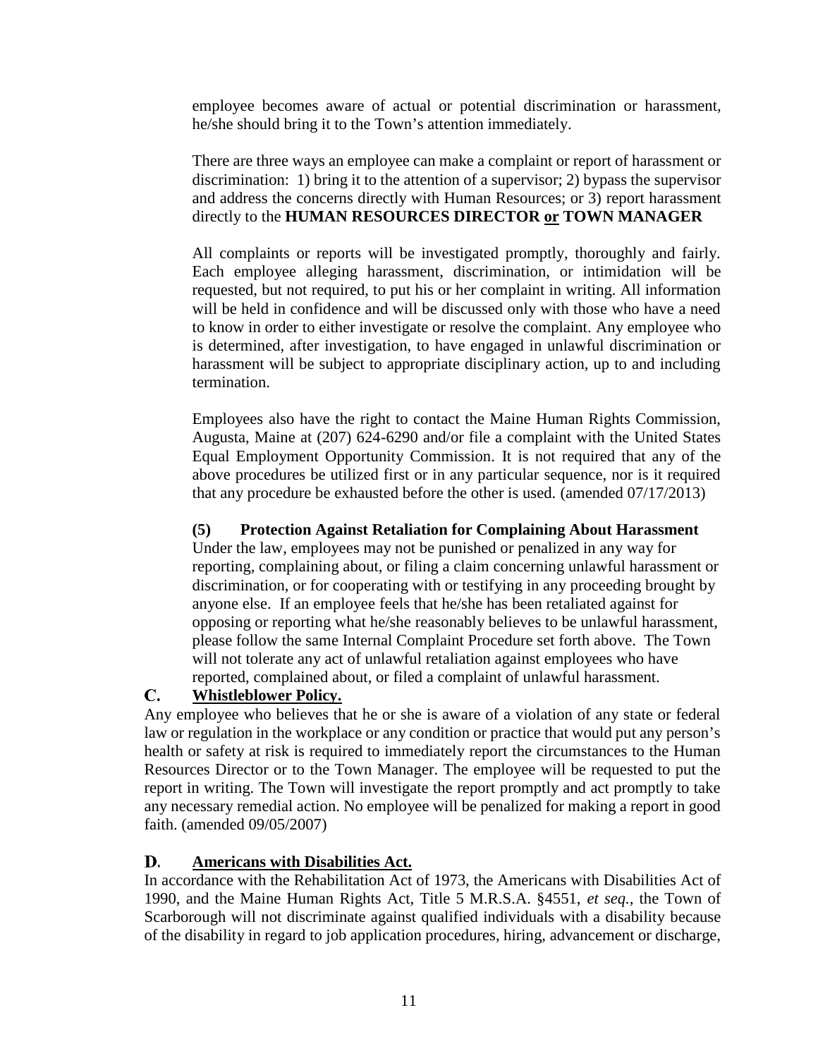employee becomes aware of actual or potential discrimination or harassment, he/she should bring it to the Town's attention immediately.

There are three ways an employee can make a complaint or report of harassment or discrimination: 1) bring it to the attention of a supervisor; 2) bypass the supervisor and address the concerns directly with Human Resources; or 3) report harassment directly to the **HUMAN RESOURCES DIRECTOR or TOWN MANAGER**

All complaints or reports will be investigated promptly, thoroughly and fairly. Each employee alleging harassment, discrimination, or intimidation will be requested, but not required, to put his or her complaint in writing. All information will be held in confidence and will be discussed only with those who have a need to know in order to either investigate or resolve the complaint. Any employee who is determined, after investigation, to have engaged in unlawful discrimination or harassment will be subject to appropriate disciplinary action, up to and including termination.

Employees also have the right to contact the Maine Human Rights Commission, Augusta, Maine at (207) 624-6290 and/or file a complaint with the United States Equal Employment Opportunity Commission. It is not required that any of the above procedures be utilized first or in any particular sequence, nor is it required that any procedure be exhausted before the other is used. (amended 07/17/2013)

#### **(5) Protection Against Retaliation for Complaining About Harassment**

Under the law, employees may not be punished or penalized in any way for reporting, complaining about, or filing a claim concerning unlawful harassment or discrimination, or for cooperating with or testifying in any proceeding brought by anyone else. If an employee feels that he/she has been retaliated against for opposing or reporting what he/she reasonably believes to be unlawful harassment, please follow the same Internal Complaint Procedure set forth above. The Town will not tolerate any act of unlawful retaliation against employees who have reported, complained about, or filed a complaint of unlawful harassment.

#### C. **Whistleblower Policy.**

Any employee who believes that he or she is aware of a violation of any state or federal law or regulation in the workplace or any condition or practice that would put any person's health or safety at risk is required to immediately report the circumstances to the Human Resources Director or to the Town Manager. The employee will be requested to put the report in writing. The Town will investigate the report promptly and act promptly to take any necessary remedial action. No employee will be penalized for making a report in good faith. (amended 09/05/2007)

#### **Americans with Disabilities Act.** D.

In accordance with the Rehabilitation Act of 1973, the Americans with Disabilities Act of 1990, and the Maine Human Rights Act, Title 5 M.R.S.A. §4551, *et seq.,* the Town of Scarborough will not discriminate against qualified individuals with a disability because of the disability in regard to job application procedures, hiring, advancement or discharge,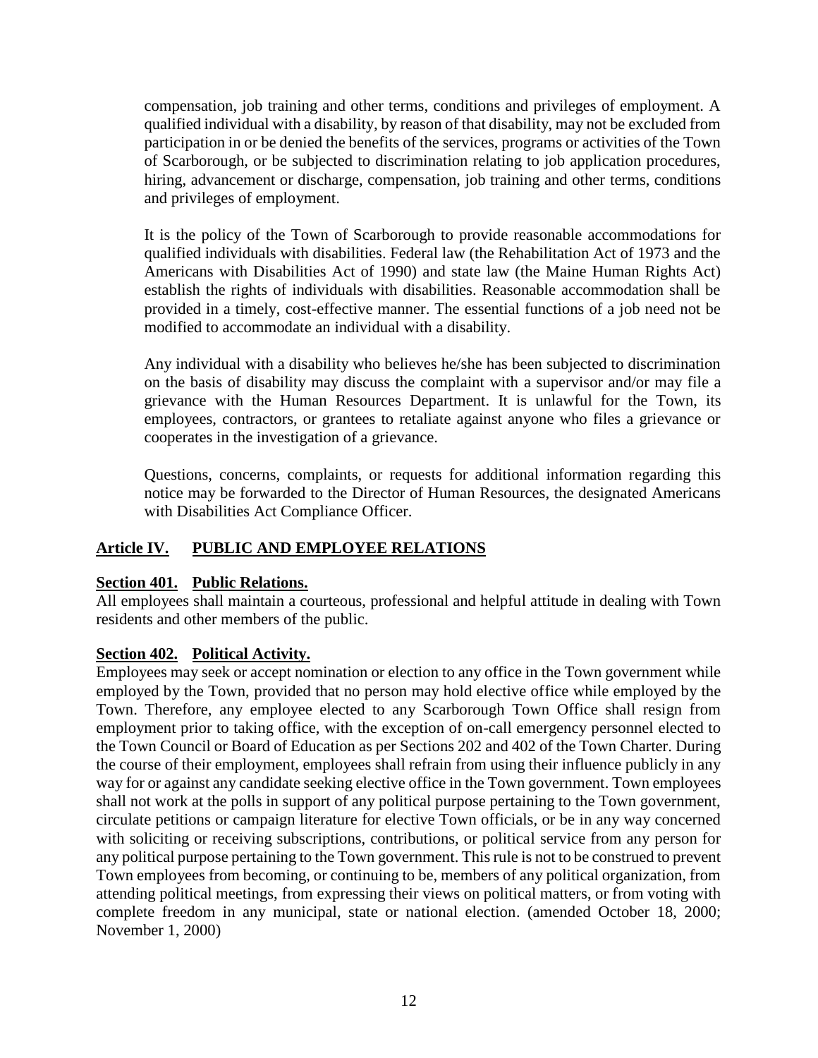compensation, job training and other terms, conditions and privileges of employment. A qualified individual with a disability, by reason of that disability, may not be excluded from participation in or be denied the benefits of the services, programs or activities of the Town of Scarborough, or be subjected to discrimination relating to job application procedures, hiring, advancement or discharge, compensation, job training and other terms, conditions and privileges of employment.

It is the policy of the Town of Scarborough to provide reasonable accommodations for qualified individuals with disabilities. Federal law (the Rehabilitation Act of 1973 and the Americans with Disabilities Act of 1990) and state law (the Maine Human Rights Act) establish the rights of individuals with disabilities. Reasonable accommodation shall be provided in a timely, cost-effective manner. The essential functions of a job need not be modified to accommodate an individual with a disability.

Any individual with a disability who believes he/she has been subjected to discrimination on the basis of disability may discuss the complaint with a supervisor and/or may file a grievance with the Human Resources Department. It is unlawful for the Town, its employees, contractors, or grantees to retaliate against anyone who files a grievance or cooperates in the investigation of a grievance.

Questions, concerns, complaints, or requests for additional information regarding this notice may be forwarded to the Director of Human Resources, the designated Americans with Disabilities Act Compliance Officer.

### **Article IV. PUBLIC AND EMPLOYEE RELATIONS**

#### **Section 401. Public Relations.**

All employees shall maintain a courteous, professional and helpful attitude in dealing with Town residents and other members of the public.

#### **Section 402. Political Activity.**

Employees may seek or accept nomination or election to any office in the Town government while employed by the Town, provided that no person may hold elective office while employed by the Town. Therefore, any employee elected to any Scarborough Town Office shall resign from employment prior to taking office, with the exception of on-call emergency personnel elected to the Town Council or Board of Education as per Sections 202 and 402 of the Town Charter. During the course of their employment, employees shall refrain from using their influence publicly in any way for or against any candidate seeking elective office in the Town government. Town employees shall not work at the polls in support of any political purpose pertaining to the Town government, circulate petitions or campaign literature for elective Town officials, or be in any way concerned with soliciting or receiving subscriptions, contributions, or political service from any person for any political purpose pertaining to the Town government. This rule is not to be construed to prevent Town employees from becoming, or continuing to be, members of any political organization, from attending political meetings, from expressing their views on political matters, or from voting with complete freedom in any municipal, state or national election. (amended October 18, 2000; November 1, 2000)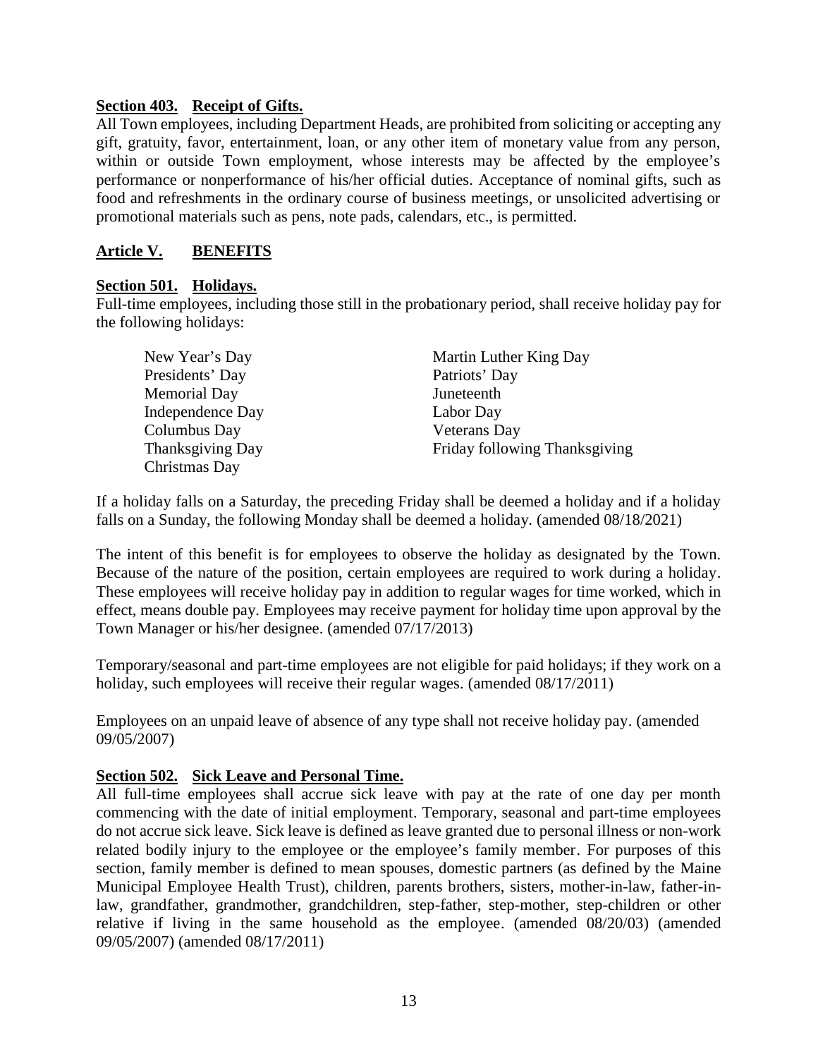#### **Section 403. Receipt of Gifts.**

All Town employees, including Department Heads, are prohibited from soliciting or accepting any gift, gratuity, favor, entertainment, loan, or any other item of monetary value from any person, within or outside Town employment, whose interests may be affected by the employee's performance or nonperformance of his/her official duties. Acceptance of nominal gifts, such as food and refreshments in the ordinary course of business meetings, or unsolicited advertising or promotional materials such as pens, note pads, calendars, etc., is permitted.

#### **Article V. BENEFITS**

#### **Section 501. Holidays.**

Full-time employees, including those still in the probationary period, shall receive holiday pay for the following holidays:

| New Year's Day          | Martin Luther King Day        |
|-------------------------|-------------------------------|
| Presidents' Day         | Patriots' Day                 |
| Memorial Day            | Juneteenth                    |
| <b>Independence Day</b> | Labor Day                     |
| Columbus Day            | Veterans Day                  |
| Thanksgiving Day        | Friday following Thanksgiving |
| Christmas Day           |                               |

If a holiday falls on a Saturday, the preceding Friday shall be deemed a holiday and if a holiday falls on a Sunday, the following Monday shall be deemed a holiday. (amended 08/18/2021)

The intent of this benefit is for employees to observe the holiday as designated by the Town. Because of the nature of the position, certain employees are required to work during a holiday. These employees will receive holiday pay in addition to regular wages for time worked, which in effect, means double pay. Employees may receive payment for holiday time upon approval by the Town Manager or his/her designee. (amended 07/17/2013)

Temporary/seasonal and part-time employees are not eligible for paid holidays; if they work on a holiday, such employees will receive their regular wages. (amended  $08/17/2011$ )

Employees on an unpaid leave of absence of any type shall not receive holiday pay. (amended 09/05/2007)

#### **Section 502. Sick Leave and Personal Time.**

All full-time employees shall accrue sick leave with pay at the rate of one day per month commencing with the date of initial employment. Temporary, seasonal and part-time employees do not accrue sick leave. Sick leave is defined as leave granted due to personal illness or non-work related bodily injury to the employee or the employee's family member. For purposes of this section, family member is defined to mean spouses, domestic partners (as defined by the Maine Municipal Employee Health Trust), children, parents brothers, sisters, mother-in-law, father-inlaw, grandfather, grandmother, grandchildren, step-father, step-mother, step-children or other relative if living in the same household as the employee. (amended 08/20/03) (amended 09/05/2007) (amended 08/17/2011)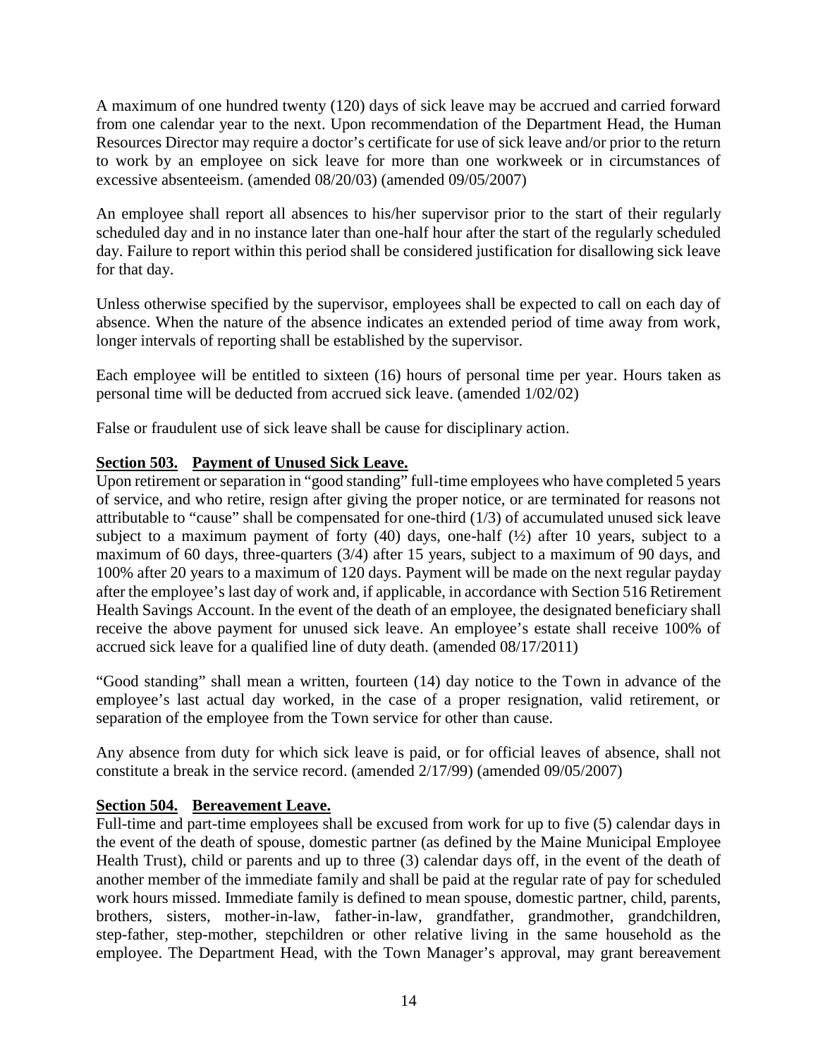A maximum of one hundred twenty (120) days of sick leave may be accrued and carried forward from one calendar year to the next. Upon recommendation of the Department Head, the Human Resources Director may require a doctor's certificate for use of sick leave and/or prior to the return to work by an employee on sick leave for more than one workweek or in circumstances of excessive absenteeism. (amended 08/20/03) (amended 09/05/2007)

An employee shall report all absences to his/her supervisor prior to the start of their regularly scheduled day and in no instance later than one-half hour after the start of the regularly scheduled day. Failure to report within this period shall be considered justification for disallowing sick leave for that day.

Unless otherwise specified by the supervisor, employees shall be expected to call on each day of absence. When the nature of the absence indicates an extended period of time away from work, longer intervals of reporting shall be established by the supervisor.

Each employee will be entitled to sixteen (16) hours of personal time per year. Hours taken as personal time will be deducted from accrued sick leave. (amended 1/02/02)

False or fraudulent use of sick leave shall be cause for disciplinary action.

### **Section 503. Payment of Unused Sick Leave.**

Upon retirement or separation in "good standing" full-time employees who have completed 5 years of service, and who retire, resign after giving the proper notice, or are terminated for reasons not attributable to "cause" shall be compensated for one-third (1/3) of accumulated unused sick leave subject to a maximum payment of forty  $(40)$  days, one-half  $(½)$  after 10 years, subject to a maximum of 60 days, three-quarters (3/4) after 15 years, subject to a maximum of 90 days, and 100% after 20 years to a maximum of 120 days. Payment will be made on the next regular payday after the employee's last day of work and, if applicable, in accordance with Section 516 Retirement Health Savings Account. In the event of the death of an employee, the designated beneficiary shall receive the above payment for unused sick leave. An employee's estate shall receive 100% of accrued sick leave for a qualified line of duty death. (amended 08/17/2011)

"Good standing" shall mean a written, fourteen (14) day notice to the Town in advance of the employee's last actual day worked, in the case of a proper resignation, valid retirement, or separation of the employee from the Town service for other than cause.

Any absence from duty for which sick leave is paid, or for official leaves of absence, shall not constitute a break in the service record. (amended 2/17/99) (amended 09/05/2007)

#### **Section 504. Bereavement Leave.**

Full-time and part-time employees shall be excused from work for up to five (5) calendar days in the event of the death of spouse, domestic partner (as defined by the Maine Municipal Employee Health Trust), child or parents and up to three (3) calendar days off, in the event of the death of another member of the immediate family and shall be paid at the regular rate of pay for scheduled work hours missed. Immediate family is defined to mean spouse, domestic partner, child, parents, brothers, sisters, mother-in-law, father-in-law, grandfather, grandmother, grandchildren, step-father, step-mother, stepchildren or other relative living in the same household as the employee. The Department Head, with the Town Manager's approval, may grant bereavement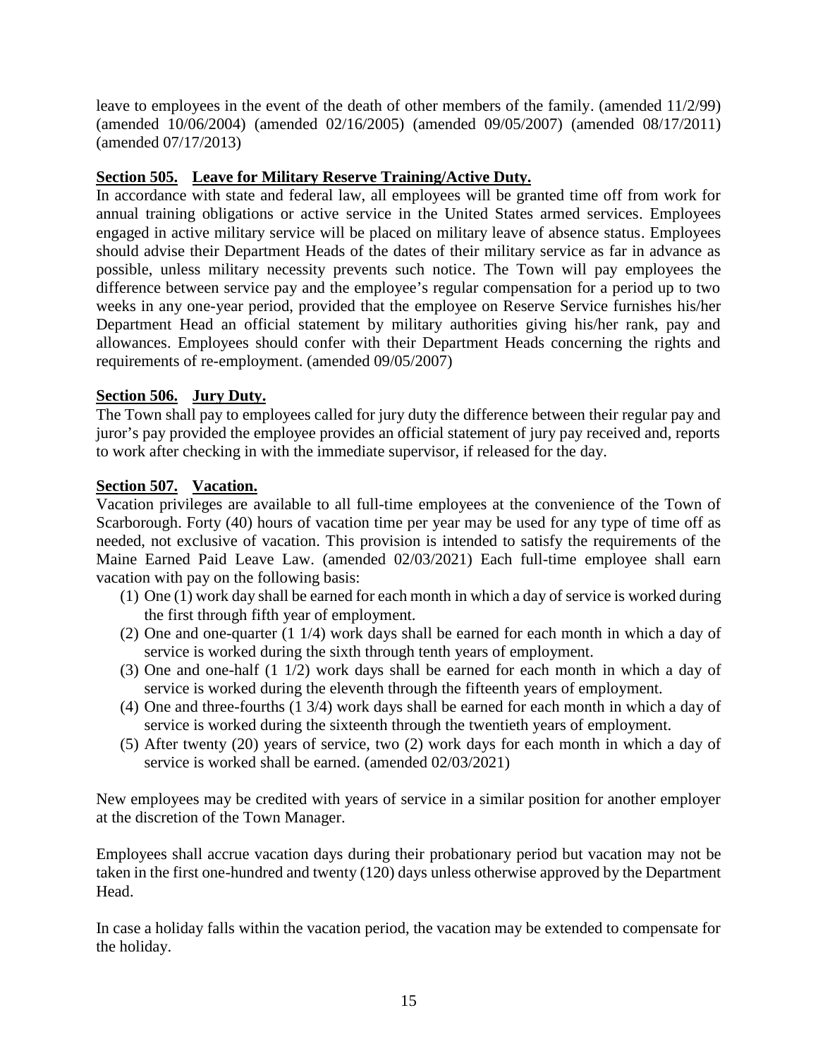leave to employees in the event of the death of other members of the family. (amended 11/2/99) (amended 10/06/2004) (amended 02/16/2005) (amended 09/05/2007) (amended 08/17/2011) (amended 07/17/2013)

#### **Section 505. Leave for Military Reserve Training/Active Duty.**

In accordance with state and federal law, all employees will be granted time off from work for annual training obligations or active service in the United States armed services. Employees engaged in active military service will be placed on military leave of absence status. Employees should advise their Department Heads of the dates of their military service as far in advance as possible, unless military necessity prevents such notice. The Town will pay employees the difference between service pay and the employee's regular compensation for a period up to two weeks in any one-year period, provided that the employee on Reserve Service furnishes his/her Department Head an official statement by military authorities giving his/her rank, pay and allowances. Employees should confer with their Department Heads concerning the rights and requirements of re-employment. (amended 09/05/2007)

### **Section 506. Jury Duty.**

The Town shall pay to employees called for jury duty the difference between their regular pay and juror's pay provided the employee provides an official statement of jury pay received and, reports to work after checking in with the immediate supervisor, if released for the day.

### **Section 507. Vacation.**

Vacation privileges are available to all full-time employees at the convenience of the Town of Scarborough. Forty (40) hours of vacation time per year may be used for any type of time off as needed, not exclusive of vacation. This provision is intended to satisfy the requirements of the Maine Earned Paid Leave Law. (amended 02/03/2021) Each full-time employee shall earn vacation with pay on the following basis:

- (1) One (1) work day shall be earned for each month in which a day of service is worked during the first through fifth year of employment.
- (2) One and one-quarter (1 1/4) work days shall be earned for each month in which a day of service is worked during the sixth through tenth years of employment.
- (3) One and one-half (1 1/2) work days shall be earned for each month in which a day of service is worked during the eleventh through the fifteenth years of employment.
- (4) One and three-fourths (1 3/4) work days shall be earned for each month in which a day of service is worked during the sixteenth through the twentieth years of employment.
- (5) After twenty (20) years of service, two (2) work days for each month in which a day of service is worked shall be earned. (amended 02/03/2021)

New employees may be credited with years of service in a similar position for another employer at the discretion of the Town Manager.

Employees shall accrue vacation days during their probationary period but vacation may not be taken in the first one-hundred and twenty (120) days unless otherwise approved by the Department Head.

In case a holiday falls within the vacation period, the vacation may be extended to compensate for the holiday.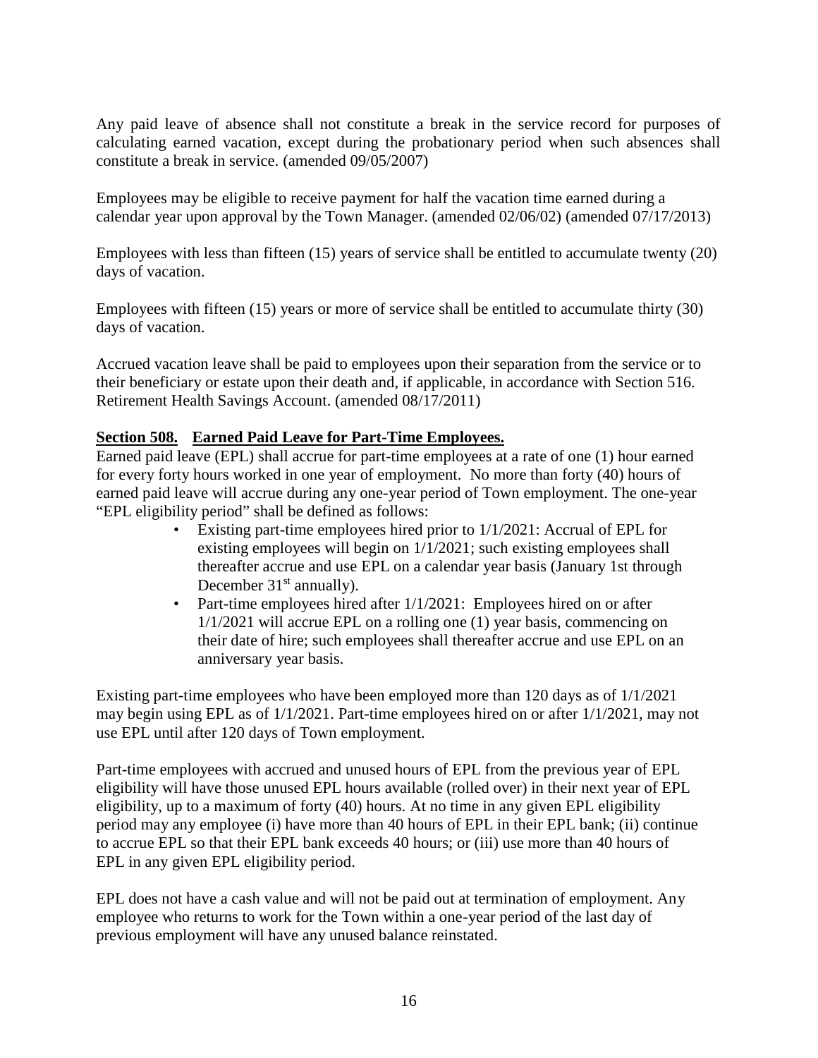Any paid leave of absence shall not constitute a break in the service record for purposes of calculating earned vacation, except during the probationary period when such absences shall constitute a break in service. (amended 09/05/2007)

Employees may be eligible to receive payment for half the vacation time earned during a calendar year upon approval by the Town Manager. (amended 02/06/02) (amended 07/17/2013)

Employees with less than fifteen (15) years of service shall be entitled to accumulate twenty (20) days of vacation.

Employees with fifteen (15) years or more of service shall be entitled to accumulate thirty (30) days of vacation.

Accrued vacation leave shall be paid to employees upon their separation from the service or to their beneficiary or estate upon their death and, if applicable, in accordance with Section 516. Retirement Health Savings Account. (amended 08/17/2011)

#### **Section 508. Earned Paid Leave for Part-Time Employees.**

Earned paid leave (EPL) shall accrue for part-time employees at a rate of one (1) hour earned for every forty hours worked in one year of employment. No more than forty (40) hours of earned paid leave will accrue during any one-year period of Town employment. The one-year "EPL eligibility period" shall be defined as follows:

- Existing part-time employees hired prior to 1/1/2021: Accrual of EPL for existing employees will begin on 1/1/2021; such existing employees shall thereafter accrue and use EPL on a calendar year basis (January 1st through December  $31<sup>st</sup>$  annually).
- Part-time employees hired after  $1/1/2021$ : Employees hired on or after 1/1/2021 will accrue EPL on a rolling one (1) year basis, commencing on their date of hire; such employees shall thereafter accrue and use EPL on an anniversary year basis.

Existing part-time employees who have been employed more than 120 days as of 1/1/2021 may begin using EPL as of 1/1/2021. Part-time employees hired on or after 1/1/2021, may not use EPL until after 120 days of Town employment.

Part-time employees with accrued and unused hours of EPL from the previous year of EPL eligibility will have those unused EPL hours available (rolled over) in their next year of EPL eligibility, up to a maximum of forty (40) hours. At no time in any given EPL eligibility period may any employee (i) have more than 40 hours of EPL in their EPL bank; (ii) continue to accrue EPL so that their EPL bank exceeds 40 hours; or (iii) use more than 40 hours of EPL in any given EPL eligibility period.

EPL does not have a cash value and will not be paid out at termination of employment. Any employee who returns to work for the Town within a one-year period of the last day of previous employment will have any unused balance reinstated.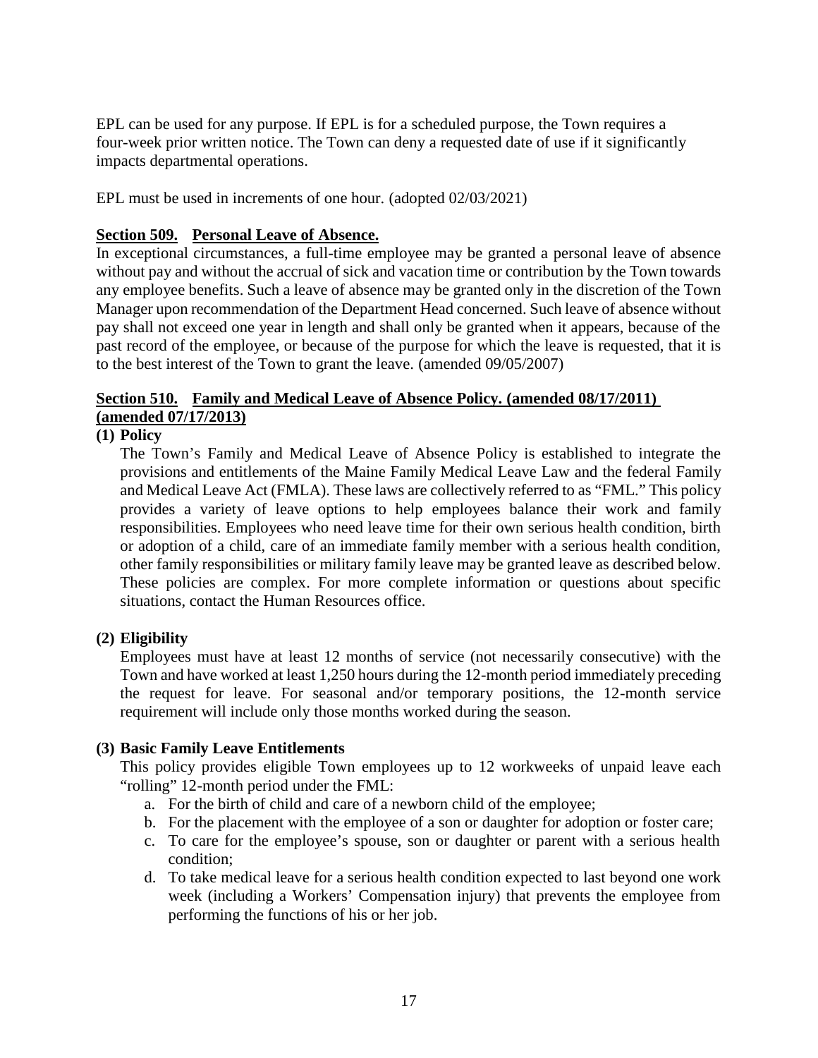EPL can be used for any purpose. If EPL is for a scheduled purpose, the Town requires a four-week prior written notice. The Town can deny a requested date of use if it significantly impacts departmental operations.

EPL must be used in increments of one hour. (adopted 02/03/2021)

#### **Section 509. Personal Leave of Absence.**

In exceptional circumstances, a full-time employee may be granted a personal leave of absence without pay and without the accrual of sick and vacation time or contribution by the Town towards any employee benefits. Such a leave of absence may be granted only in the discretion of the Town Manager upon recommendation of the Department Head concerned. Such leave of absence without pay shall not exceed one year in length and shall only be granted when it appears, because of the past record of the employee, or because of the purpose for which the leave is requested, that it is to the best interest of the Town to grant the leave. (amended 09/05/2007)

### **Section 510. Family and Medical Leave of Absence Policy. (amended 08/17/2011) (amended 07/17/2013)**

#### **(1) Policy**

The Town's Family and Medical Leave of Absence Policy is established to integrate the provisions and entitlements of the Maine Family Medical Leave Law and the federal Family and Medical Leave Act (FMLA). These laws are collectively referred to as "FML." This policy provides a variety of leave options to help employees balance their work and family responsibilities. Employees who need leave time for their own serious health condition, birth or adoption of a child, care of an immediate family member with a serious health condition, other family responsibilities or military family leave may be granted leave as described below. These policies are complex. For more complete information or questions about specific situations, contact the Human Resources office.

#### **(2) Eligibility**

Employees must have at least 12 months of service (not necessarily consecutive) with the Town and have worked at least 1,250 hours during the 12-month period immediately preceding the request for leave. For seasonal and/or temporary positions, the 12-month service requirement will include only those months worked during the season.

#### **(3) Basic Family Leave Entitlements**

This policy provides eligible Town employees up to 12 workweeks of unpaid leave each "rolling" 12-month period under the FML:

- a. For the birth of child and care of a newborn child of the employee;
- b. For the placement with the employee of a son or daughter for adoption or foster care;
- c. To care for the employee's spouse, son or daughter or parent with a serious health condition;
- d. To take medical leave for a serious health condition expected to last beyond one work week (including a Workers' Compensation injury) that prevents the employee from performing the functions of his or her job.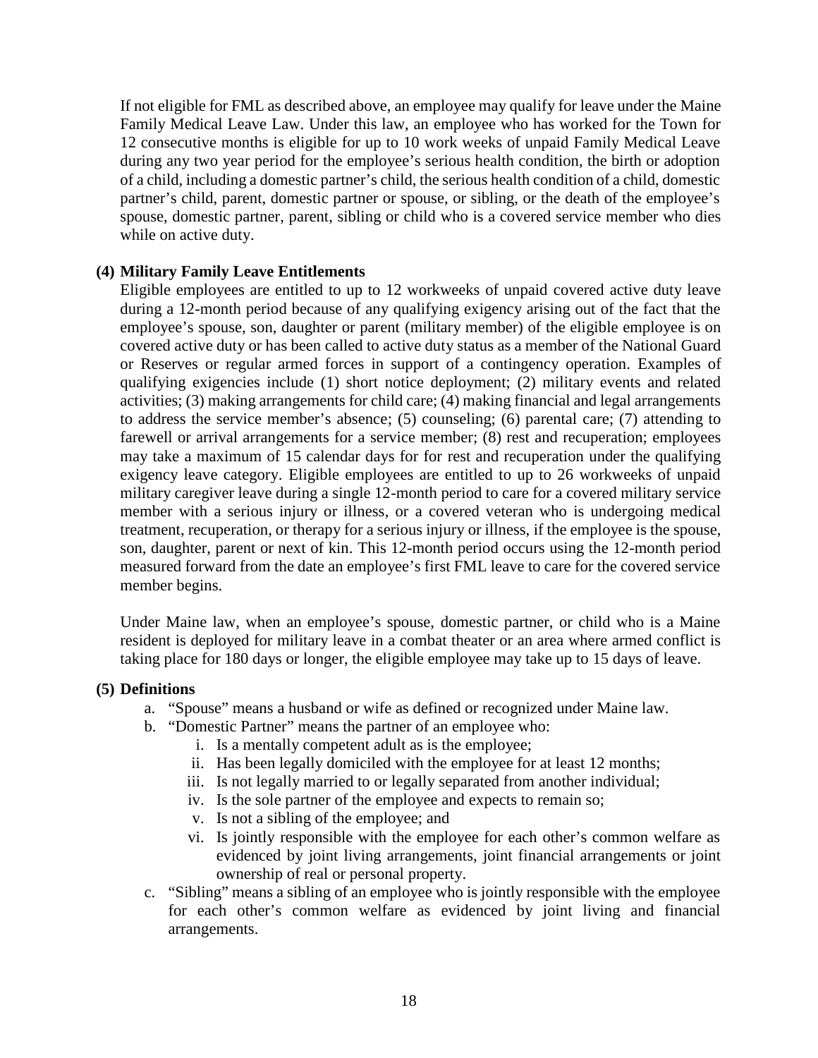If not eligible for FML as described above, an employee may qualify for leave under the Maine Family Medical Leave Law. Under this law, an employee who has worked for the Town for 12 consecutive months is eligible for up to 10 work weeks of unpaid Family Medical Leave during any two year period for the employee's serious health condition, the birth or adoption of a child, including a domestic partner's child, the serious health condition of a child, domestic partner's child, parent, domestic partner or spouse, or sibling, or the death of the employee's spouse, domestic partner, parent, sibling or child who is a covered service member who dies while on active duty.

#### **(4) Military Family Leave Entitlements**

Eligible employees are entitled to up to 12 workweeks of unpaid covered active duty leave during a 12-month period because of any qualifying exigency arising out of the fact that the employee's spouse, son, daughter or parent (military member) of the eligible employee is on covered active duty or has been called to active duty status as a member of the National Guard or Reserves or regular armed forces in support of a contingency operation. Examples of qualifying exigencies include (1) short notice deployment; (2) military events and related activities; (3) making arrangements for child care; (4) making financial and legal arrangements to address the service member's absence; (5) counseling; (6) parental care; (7) attending to farewell or arrival arrangements for a service member;  $(8)$  rest and recuperation; employees may take a maximum of 15 calendar days for for rest and recuperation under the qualifying exigency leave category. Eligible employees are entitled to up to 26 workweeks of unpaid military caregiver leave during a single 12-month period to care for a covered military service member with a serious injury or illness, or a covered veteran who is undergoing medical treatment, recuperation, or therapy for a serious injury or illness, if the employee is the spouse, son, daughter, parent or next of kin. This 12-month period occurs using the 12-month period measured forward from the date an employee's first FML leave to care for the covered service member begins.

Under Maine law, when an employee's spouse, domestic partner, or child who is a Maine resident is deployed for military leave in a combat theater or an area where armed conflict is taking place for 180 days or longer, the eligible employee may take up to 15 days of leave.

#### **(5) Definitions**

- a. "Spouse" means a husband or wife as defined or recognized under Maine law.
- b. "Domestic Partner" means the partner of an employee who:
	- i. Is a mentally competent adult as is the employee;
	- ii. Has been legally domiciled with the employee for at least 12 months;
	- iii. Is not legally married to or legally separated from another individual;
	- iv. Is the sole partner of the employee and expects to remain so;
	- v. Is not a sibling of the employee; and
	- vi. Is jointly responsible with the employee for each other's common welfare as evidenced by joint living arrangements, joint financial arrangements or joint ownership of real or personal property.
- c. "Sibling" means a sibling of an employee who is jointly responsible with the employee for each other's common welfare as evidenced by joint living and financial arrangements.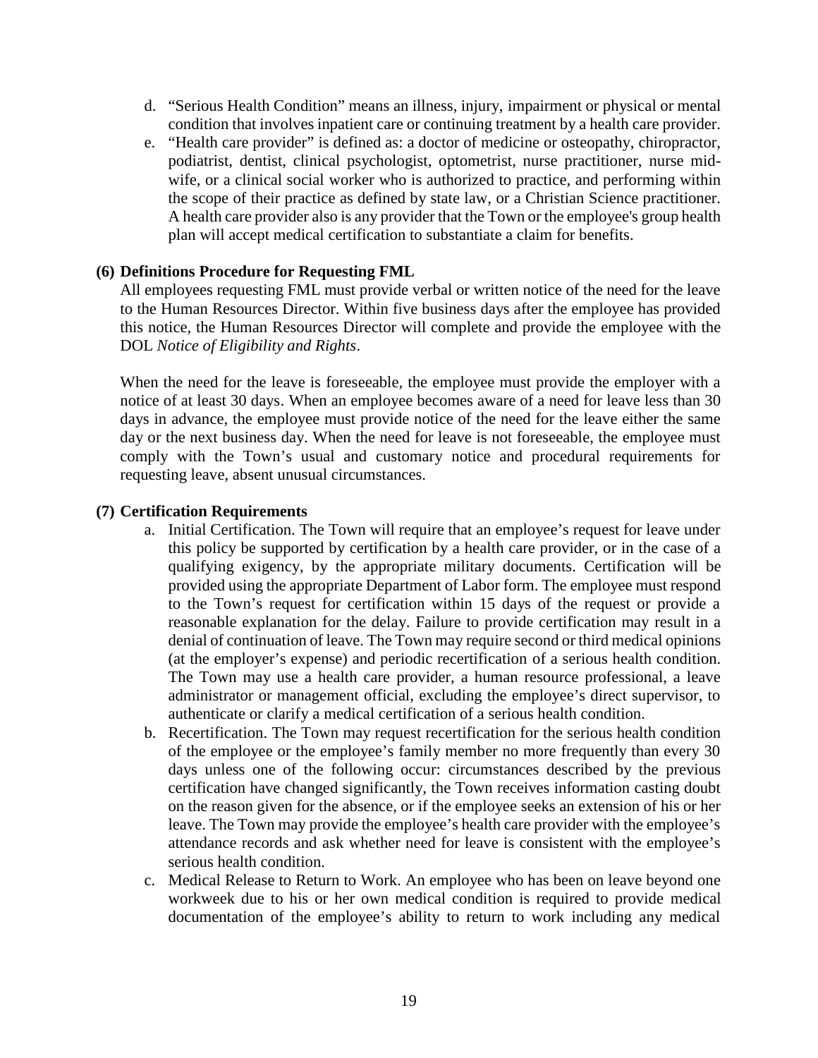- d. "Serious Health Condition" means an illness, injury, impairment or physical or mental condition that involves inpatient care or continuing treatment by a health care provider.
- e. "Health care provider" is defined as: a doctor of medicine or osteopathy, chiropractor, podiatrist, dentist, clinical psychologist, optometrist, nurse practitioner, nurse mid wife, or a clinical social worker who is authorized to practice, and performing within the scope of their practice as defined by state law, or a Christian Science practitioner. A health care provider also is any provider that the Town or the employee's group health plan will accept medical certification to substantiate a claim for benefits.

#### **(6) Definitions Procedure for Requesting FML**

All employees requesting FML must provide verbal or written notice of the need for the leave to the Human Resources Director. Within five business days after the employee has provided this notice, the Human Resources Director will complete and provide the employee with the DOL *Notice of Eligibility and Rights*.

When the need for the leave is foreseeable, the employee must provide the employer with a notice of at least 30 days. When an employee becomes aware of a need for leave less than 30 days in advance, the employee must provide notice of the need for the leave either the same day or the next business day. When the need for leave is not foreseeable, the employee must comply with the Town's usual and customary notice and procedural requirements for requesting leave, absent unusual circumstances.

#### **(7) Certification Requirements**

- a. Initial Certification. The Town will require that an employee's request for leave under this policy be supported by certification by a health care provider, or in the case of a qualifying exigency, by the appropriate military documents. Certification will be provided using the appropriate Department of Labor form. The employee must respond to the Town's request for certification within 15 days of the request or provide a reasonable explanation for the delay. Failure to provide certification may result in a denial of continuation of leave. The Town may require second or third medical opinions (at the employer's expense) and periodic recertification of a serious health condition. The Town may use a health care provider, a human resource professional, a leave administrator or management official, excluding the employee's direct supervisor, to authenticate or clarify a medical certification of a serious health condition.
- b. Recertification. The Town may request recertification for the serious health condition of the employee or the employee's family member no more frequently than every 30 days unless one of the following occur: circumstances described by the previous certification have changed significantly, the Town receives information casting doubt on the reason given for the absence, or if the employee seeks an extension of his or her leave. The Town may provide the employee's health care provider with the employee's attendance records and ask whether need for leave is consistent with the employee's serious health condition.
- c. Medical Release to Return to Work. An employee who has been on leave beyond one workweek due to his or her own medical condition is required to provide medical documentation of the employee's ability to return to work including any medical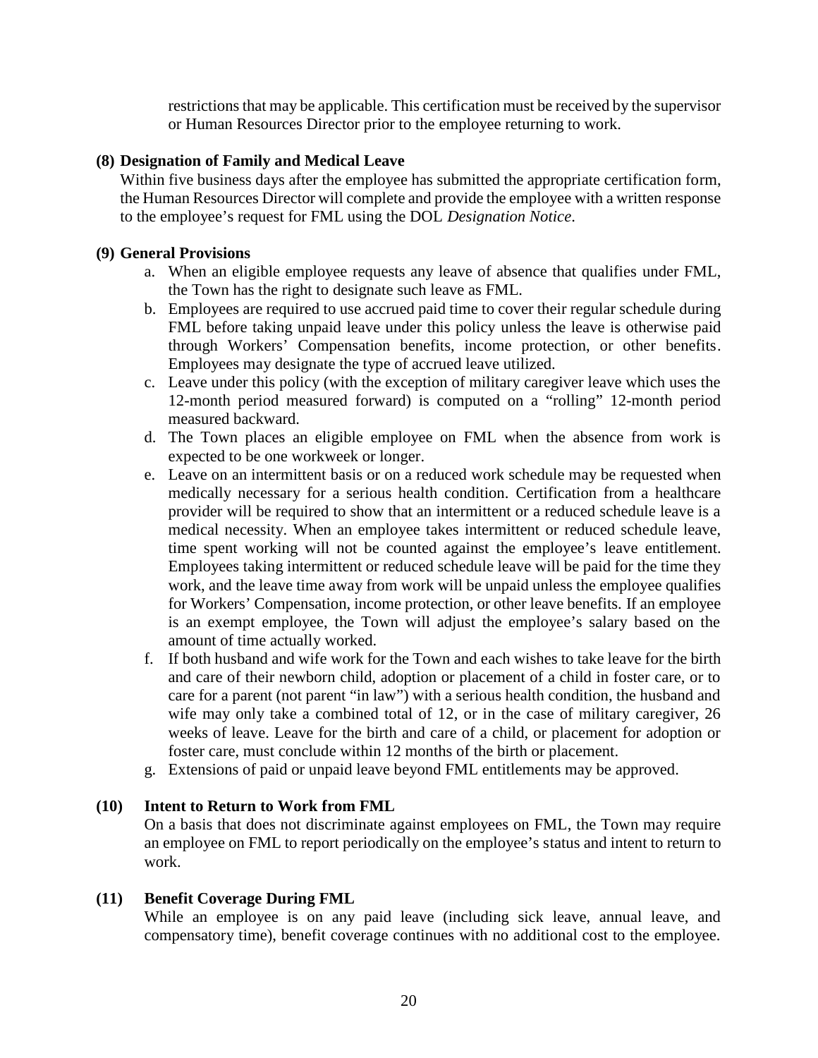restrictions that may be applicable. This certification must be received by the supervisor or Human Resources Director prior to the employee returning to work.

#### **(8) Designation of Family and Medical Leave**

Within five business days after the employee has submitted the appropriate certification form, the Human Resources Director will complete and provide the employee with a written response to the employee's request for FML using the DOL *Designation Notice*.

#### **(9) General Provisions**

- a. When an eligible employee requests any leave of absence that qualifies under FML, the Town has the right to designate such leave as FML.
- b. Employees are required to use accrued paid time to cover their regular schedule during FML before taking unpaid leave under this policy unless the leave is otherwise paid through Workers' Compensation benefits, income protection, or other benefits. Employees may designate the type of accrued leave utilized.
- c. Leave under this policy (with the exception of military caregiver leave which uses the 12-month period measured forward) is computed on a "rolling" 12-month period measured backward.
- d. The Town places an eligible employee on FML when the absence from work is expected to be one workweek or longer.
- e. Leave on an intermittent basis or on a reduced work schedule may be requested when medically necessary for a serious health condition. Certification from a healthcare provider will be required to show that an intermittent or a reduced schedule leave is a medical necessity. When an employee takes intermittent or reduced schedule leave, time spent working will not be counted against the employee's leave entitlement. Employees taking intermittent or reduced schedule leave will be paid for the time they work, and the leave time away from work will be unpaid unless the employee qualifies for Workers' Compensation, income protection, or other leave benefits. If an employee is an exempt employee, the Town will adjust the employee's salary based on the amount of time actually worked.
- f. If both husband and wife work for the Town and each wishes to take leave for the birth and care of their newborn child, adoption or placement of a child in foster care, or to care for a parent (not parent "in law") with a serious health condition, the husband and wife may only take a combined total of 12, or in the case of military caregiver, 26 weeks of leave. Leave for the birth and care of a child, or placement for adoption or foster care, must conclude within 12 months of the birth or placement.
- g. Extensions of paid or unpaid leave beyond FML entitlements may be approved.

#### **(10) Intent to Return to Work from FML**

On a basis that does not discriminate against employees on FML, the Town may require an employee on FML to report periodically on the employee's status and intent to return to work.

#### **(11) Benefit Coverage During FML**

While an employee is on any paid leave (including sick leave, annual leave, and compensatory time), benefit coverage continues with no additional cost to the employee.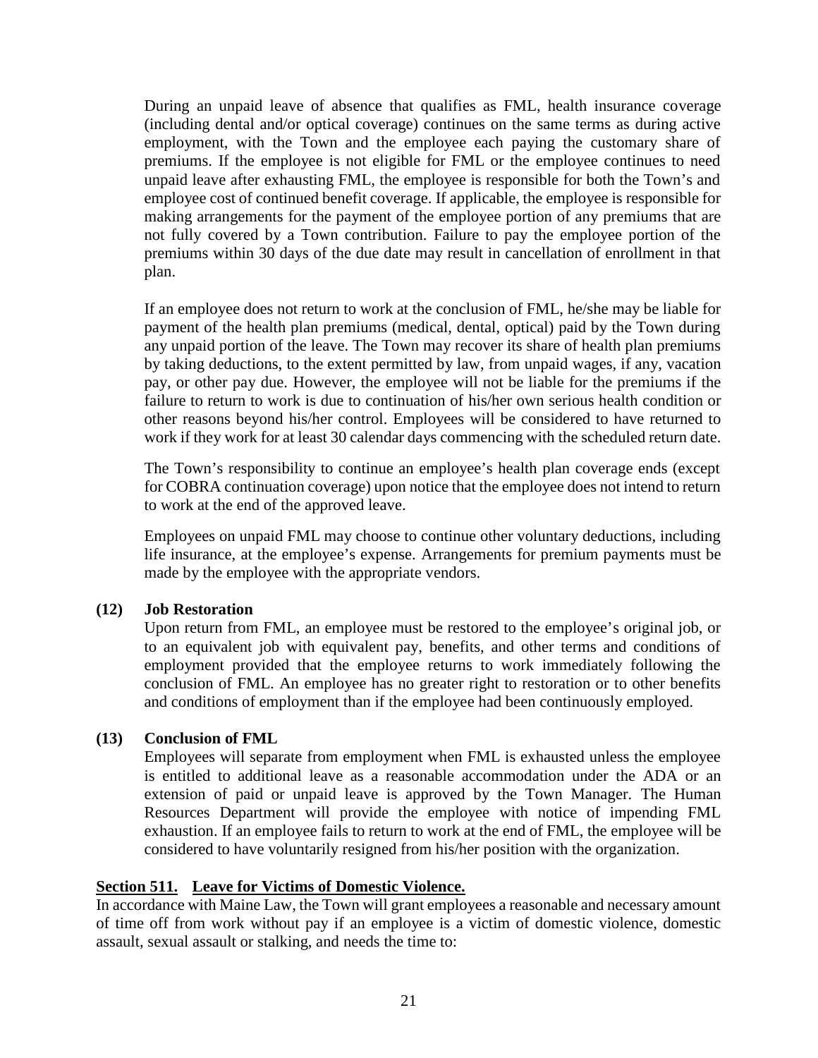During an unpaid leave of absence that qualifies as FML, health insurance coverage (including dental and/or optical coverage) continues on the same terms as during active employment, with the Town and the employee each paying the customary share of premiums. If the employee is not eligible for FML or the employee continues to need unpaid leave after exhausting FML, the employee is responsible for both the Town's and employee cost of continued benefit coverage. If applicable, the employee is responsible for making arrangements for the payment of the employee portion of any premiums that are not fully covered by a Town contribution. Failure to pay the employee portion of the premiums within 30 days of the due date may result in cancellation of enrollment in that plan.

If an employee does not return to work at the conclusion of FML, he/she may be liable for payment of the health plan premiums (medical, dental, optical) paid by the Town during any unpaid portion of the leave. The Town may recover its share of health plan premiums by taking deductions, to the extent permitted by law, from unpaid wages, if any, vacation pay, or other pay due. However, the employee will not be liable for the premiums if the failure to return to work is due to continuation of his/her own serious health condition or other reasons beyond his/her control. Employees will be considered to have returned to work if they work for at least 30 calendar days commencing with the scheduled return date.

The Town's responsibility to continue an employee's health plan coverage ends (except for COBRA continuation coverage) upon notice that the employee does not intend to return to work at the end of the approved leave.

Employees on unpaid FML may choose to continue other voluntary deductions, including life insurance, at the employee's expense. Arrangements for premium payments must be made by the employee with the appropriate vendors.

#### **(12) Job Restoration**

Upon return from FML, an employee must be restored to the employee's original job, or to an equivalent job with equivalent pay, benefits, and other terms and conditions of employment provided that the employee returns to work immediately following the conclusion of FML. An employee has no greater right to restoration or to other benefits and conditions of employment than if the employee had been continuously employed.

#### **(13) Conclusion of FML**

Employees will separate from employment when FML is exhausted unless the employee is entitled to additional leave as a reasonable accommodation under the ADA or an extension of paid or unpaid leave is approved by the Town Manager. The Human Resources Department will provide the employee with notice of impending FML exhaustion. If an employee fails to return to work at the end of FML, the employee will be considered to have voluntarily resigned from his/her position with the organization.

#### **Section 511. Leave for Victims of Domestic Violence.**

In accordance with Maine Law, the Town will grant employees a reasonable and necessary amount of time off from work without pay if an employee is a victim of domestic violence, domestic assault, sexual assault or stalking, and needs the time to: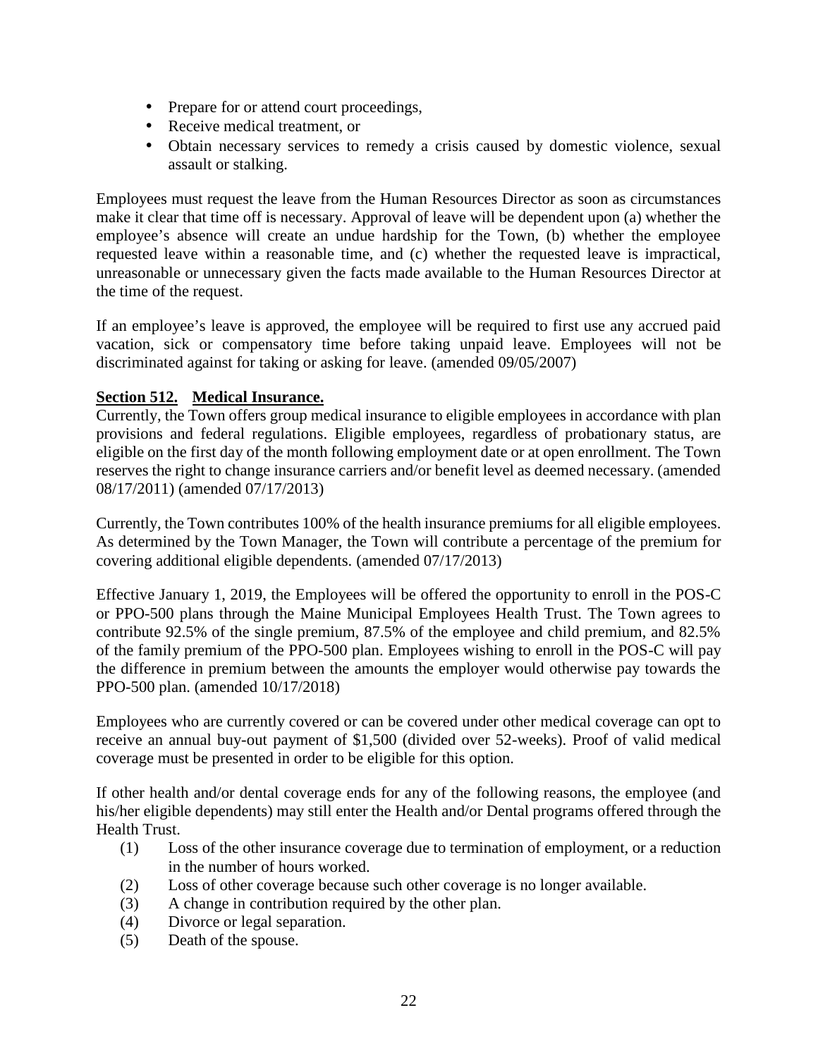- Prepare for or attend court proceedings,
- Receive medical treatment, or
- Obtain necessary services to remedy a crisis caused by domestic violence, sexual assault or stalking.

Employees must request the leave from the Human Resources Director as soon as circumstances make it clear that time off is necessary. Approval of leave will be dependent upon (a) whether the employee's absence will create an undue hardship for the Town, (b) whether the employee requested leave within a reasonable time, and (c) whether the requested leave is impractical, unreasonable or unnecessary given the facts made available to the Human Resources Director at the time of the request.

If an employee's leave is approved, the employee will be required to first use any accrued paid vacation, sick or compensatory time before taking unpaid leave. Employees will not be discriminated against for taking or asking for leave. (amended 09/05/2007)

### **Section 512. Medical Insurance.**

Currently, the Town offers group medical insurance to eligible employees in accordance with plan provisions and federal regulations. Eligible employees, regardless of probationary status, are eligible on the first day of the month following employment date or at open enrollment. The Town reserves the right to change insurance carriers and/or benefit level as deemed necessary. (amended 08/17/2011) (amended 07/17/2013)

Currently, the Town contributes 100% of the health insurance premiums for all eligible employees. As determined by the Town Manager, the Town will contribute a percentage of the premium for covering additional eligible dependents. (amended 07/17/2013)

Effective January 1, 2019, the Employees will be offered the opportunity to enroll in the POS-C or PPO-500 plans through the Maine Municipal Employees Health Trust. The Town agrees to contribute 92.5% of the single premium, 87.5% of the employee and child premium, and 82.5% of the family premium of the PPO-500 plan. Employees wishing to enroll in the POS-C will pay the difference in premium between the amounts the employer would otherwise pay towards the PPO-500 plan. (amended 10/17/2018)

Employees who are currently covered or can be covered under other medical coverage can opt to receive an annual buy-out payment of \$1,500 (divided over 52-weeks). Proof of valid medical coverage must be presented in order to be eligible for this option.

If other health and/or dental coverage ends for any of the following reasons, the employee (and his/her eligible dependents) may still enter the Health and/or Dental programs offered through the Health Trust.

- (1) Loss of the other insurance coverage due to termination of employment, or a reduction in the number of hours worked.
- (2) Loss of other coverage because such other coverage is no longer available.
- (3) A change in contribution required by the other plan.
- (4) Divorce or legal separation.
- (5) Death of the spouse.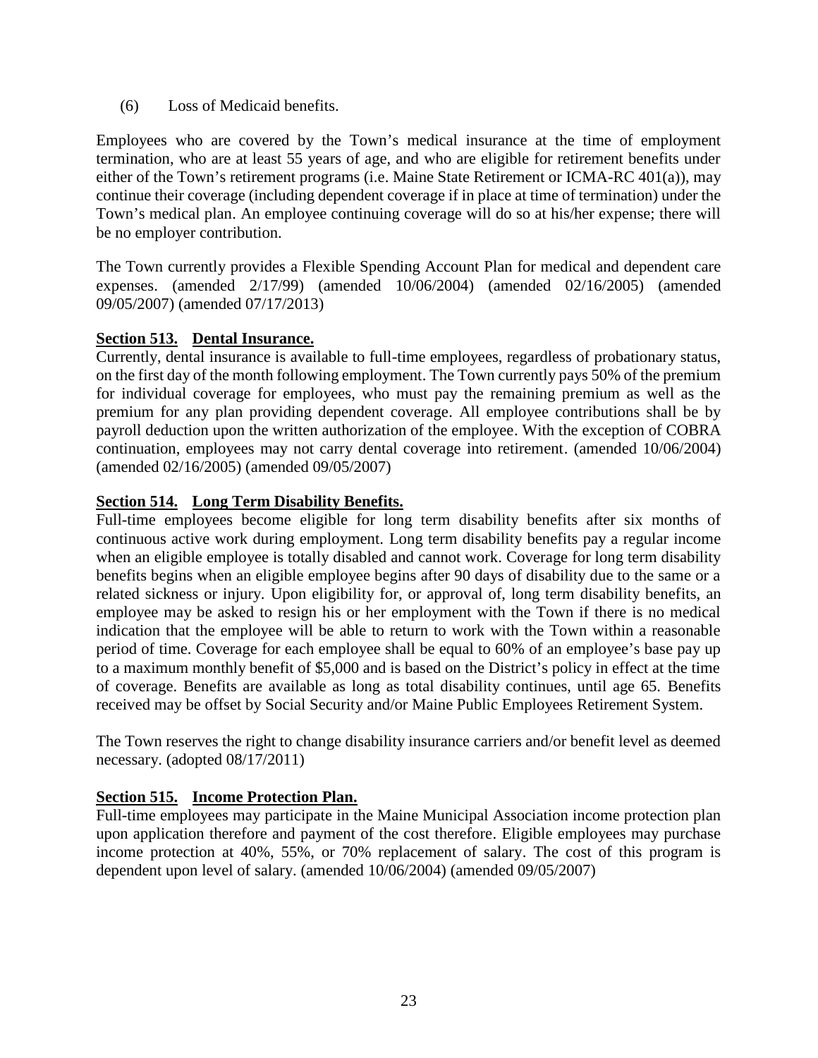(6) Loss of Medicaid benefits.

Employees who are covered by the Town's medical insurance at the time of employment termination, who are at least 55 years of age, and who are eligible for retirement benefits under either of the Town's retirement programs (i.e. Maine State Retirement or ICMA-RC 401(a)), may continue their coverage (including dependent coverage if in place at time of termination) under the Town's medical plan. An employee continuing coverage will do so at his/her expense; there will be no employer contribution.

The Town currently provides a Flexible Spending Account Plan for medical and dependent care expenses. (amended 2/17/99) (amended 10/06/2004) (amended 02/16/2005) (amended 09/05/2007) (amended 07/17/2013)

### **Section 513. Dental Insurance.**

Currently, dental insurance is available to full-time employees, regardless of probationary status, on the first day of the month following employment. The Town currently pays 50% of the premium for individual coverage for employees, who must pay the remaining premium as well as the premium for any plan providing dependent coverage. All employee contributions shall be by payroll deduction upon the written authorization of the employee. With the exception of COBRA continuation, employees may not carry dental coverage into retirement. (amended 10/06/2004) (amended 02/16/2005) (amended 09/05/2007)

### **Section 514. Long Term Disability Benefits.**

Full-time employees become eligible for long term disability benefits after six months of continuous active work during employment. Long term disability benefits pay a regular income when an eligible employee is totally disabled and cannot work. Coverage for long term disability benefits begins when an eligible employee begins after 90 days of disability due to the same or a related sickness or injury. Upon eligibility for, or approval of, long term disability benefits, an employee may be asked to resign his or her employment with the Town if there is no medical indication that the employee will be able to return to work with the Town within a reasonable period of time. Coverage for each employee shall be equal to 60% of an employee's base pay up to a maximum monthly benefit of \$5,000 and is based on the District's policy in effect at the time of coverage. Benefits are available as long as total disability continues, until age 65. Benefits received may be offset by Social Security and/or Maine Public Employees Retirement System.

The Town reserves the right to change disability insurance carriers and/or benefit level as deemed necessary. (adopted 08/17/2011)

### **Section 515. Income Protection Plan.**

Full-time employees may participate in the Maine Municipal Association income protection plan upon application therefore and payment of the cost therefore. Eligible employees may purchase income protection at 40%, 55%, or 70% replacement of salary. The cost of this program is dependent upon level of salary. (amended 10/06/2004) (amended 09/05/2007)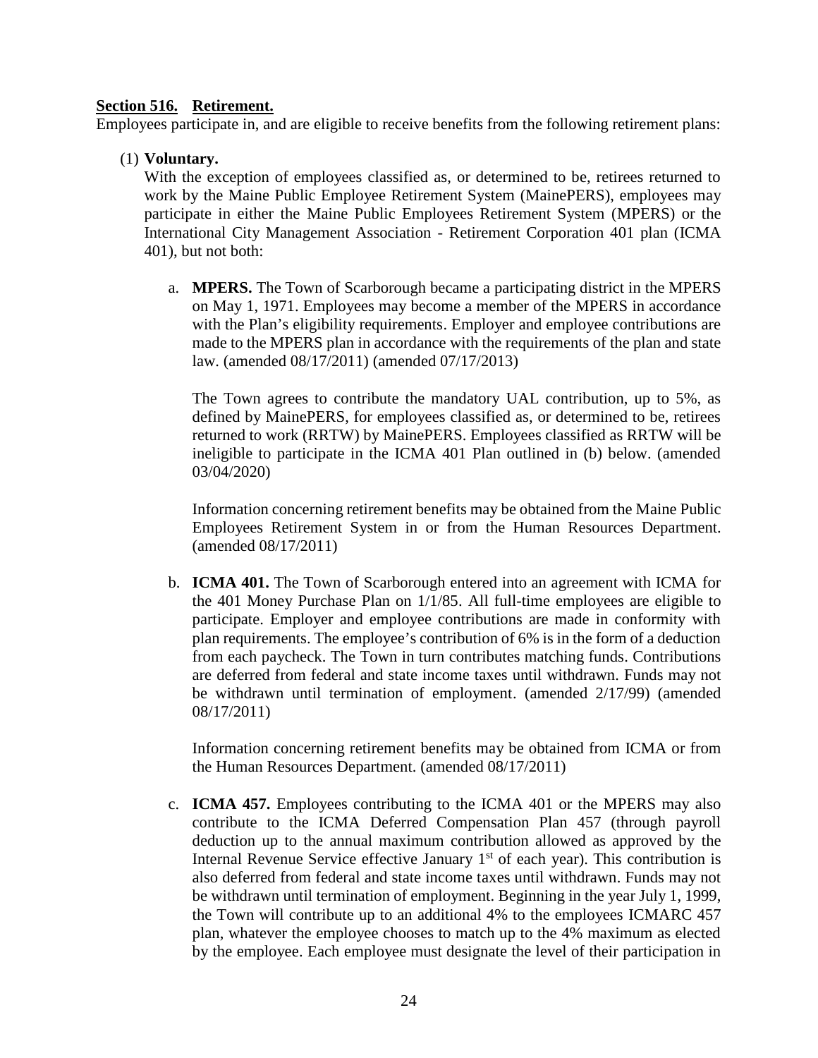#### **Section 516. Retirement.**

Employees participate in, and are eligible to receive benefits from the following retirement plans:

#### (1) **Voluntary.**

With the exception of employees classified as, or determined to be, retirees returned to work by the Maine Public Employee Retirement System (MainePERS), employees may participate in either the Maine Public Employees Retirement System (MPERS) or the International City Management Association - Retirement Corporation 401 plan (ICMA 401), but not both:

a. **MPERS.** The Town of Scarborough became a participating district in the MPERS on May 1, 1971. Employees may become a member of the MPERS in accordance with the Plan's eligibility requirements. Employer and employee contributions are made to the MPERS plan in accordance with the requirements of the plan and state law. (amended 08/17/2011) (amended 07/17/2013)

The Town agrees to contribute the mandatory UAL contribution, up to 5%, as defined by MainePERS, for employees classified as, or determined to be, retirees returned to work (RRTW) by MainePERS. Employees classified as RRTW will be ineligible to participate in the ICMA 401 Plan outlined in (b) below. (amended 03/04/2020)

Information concerning retirement benefits may be obtained from the Maine Public Employees Retirement System in or from the Human Resources Department. (amended 08/17/2011)

b. **ICMA 401.** The Town of Scarborough entered into an agreement with ICMA for the 401 Money Purchase Plan on 1/1/85. All full-time employees are eligible to participate. Employer and employee contributions are made in conformity with plan requirements. The employee's contribution of 6% is in the form of a deduction from each paycheck. The Town in turn contributes matching funds. Contributions are deferred from federal and state income taxes until withdrawn. Funds may not be withdrawn until termination of employment. (amended 2/17/99) (amended 08/17/2011)

Information concerning retirement benefits may be obtained from ICMA or from the Human Resources Department. (amended 08/17/2011)

c. **ICMA 457.** Employees contributing to the ICMA 401 or the MPERS may also contribute to the ICMA Deferred Compensation Plan 457 (through payroll deduction up to the annual maximum contribution allowed as approved by the Internal Revenue Service effective January  $1<sup>st</sup>$  of each year). This contribution is also deferred from federal and state income taxes until withdrawn. Funds may not be withdrawn until termination of employment. Beginning in the year July 1, 1999, the Town will contribute up to an additional 4% to the employees ICMARC 457 plan, whatever the employee chooses to match up to the 4% maximum as elected by the employee. Each employee must designate the level of their participation in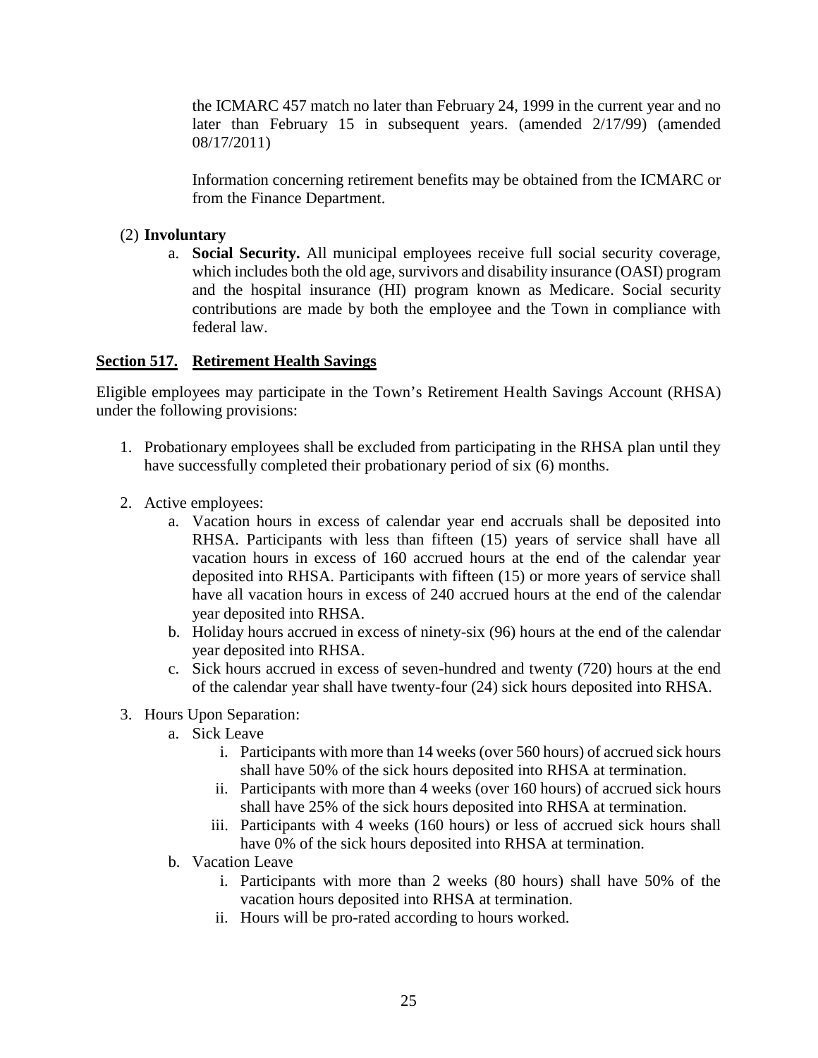the ICMARC 457 match no later than February 24, 1999 in the current year and no later than February 15 in subsequent years. (amended 2/17/99) (amended 08/17/2011)

Information concerning retirement benefits may be obtained from the ICMARC or from the Finance Department.

#### (2) **Involuntary**

a. **Social Security.** All municipal employees receive full social security coverage, which includes both the old age, survivors and disability insurance (OASI) program and the hospital insurance (HI) program known as Medicare. Social security contributions are made by both the employee and the Town in compliance with federal law.

#### **Section 517. Retirement Health Savings**

Eligible employees may participate in the Town's Retirement Health Savings Account (RHSA) under the following provisions:

- 1. Probationary employees shall be excluded from participating in the RHSA plan until they have successfully completed their probationary period of six (6) months.
- 2. Active employees:
	- a. Vacation hours in excess of calendar year end accruals shall be deposited into RHSA. Participants with less than fifteen (15) years of service shall have all vacation hours in excess of 160 accrued hours at the end of the calendar year deposited into RHSA. Participants with fifteen (15) or more years of service shall have all vacation hours in excess of 240 accrued hours at the end of the calendar year deposited into RHSA.
	- b. Holiday hours accrued in excess of ninety-six (96) hours at the end of the calendar year deposited into RHSA.
	- c. Sick hours accrued in excess of seven-hundred and twenty (720) hours at the end of the calendar year shall have twenty-four (24) sick hours deposited into RHSA.
- 3. Hours Upon Separation:
	- a. Sick Leave
		- i. Participants with more than 14 weeks (over 560 hours) of accrued sick hours shall have 50% of the sick hours deposited into RHSA at termination.
		- ii. Participants with more than 4 weeks (over 160 hours) of accrued sick hours shall have 25% of the sick hours deposited into RHSA at termination.
		- iii. Participants with 4 weeks (160 hours) or less of accrued sick hours shall have 0% of the sick hours deposited into RHSA at termination.
	- b. Vacation Leave
		- i. Participants with more than 2 weeks (80 hours) shall have 50% of the vacation hours deposited into RHSA at termination.
		- ii. Hours will be pro-rated according to hours worked.